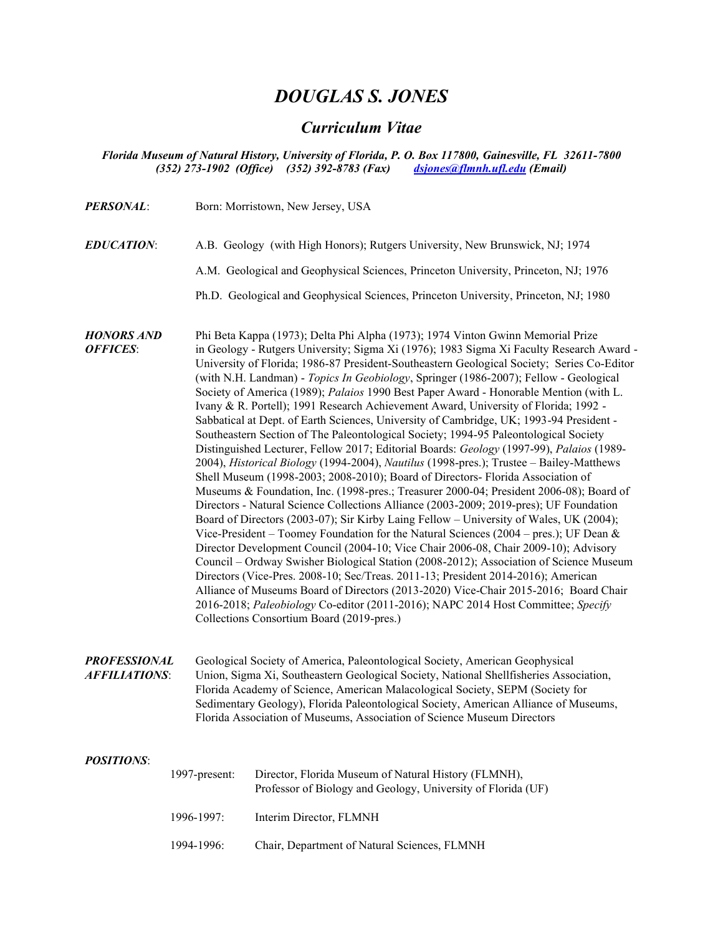# *DOUGLAS S. JONES*

# *Curriculum Vitae*

### *Florida Museum of Natural History, University of Florida, P. O. Box 117800, Gainesville, FL 32611-7800 (352) 273-1902 (Office) (352) 392-8783 (Fax) [dsjones@flmnh.ufl.edu](mailto:dsjones@flmnh.ufl.edu) (Email)*

| <b>PERSONAL:</b>                            |               | Born: Morristown, New Jersey, USA                                                                                                                                                                                                                                                                                                                                                                                                                                                                                                                                                                                                                                                                                                                                                                                                                                                                                                                                                                                                                                                                                                                                                                                                                                                                                                                                                                                                                                                                                                                                                                                                                                                                                                                                                                                                                                                      |  |
|---------------------------------------------|---------------|----------------------------------------------------------------------------------------------------------------------------------------------------------------------------------------------------------------------------------------------------------------------------------------------------------------------------------------------------------------------------------------------------------------------------------------------------------------------------------------------------------------------------------------------------------------------------------------------------------------------------------------------------------------------------------------------------------------------------------------------------------------------------------------------------------------------------------------------------------------------------------------------------------------------------------------------------------------------------------------------------------------------------------------------------------------------------------------------------------------------------------------------------------------------------------------------------------------------------------------------------------------------------------------------------------------------------------------------------------------------------------------------------------------------------------------------------------------------------------------------------------------------------------------------------------------------------------------------------------------------------------------------------------------------------------------------------------------------------------------------------------------------------------------------------------------------------------------------------------------------------------------|--|
| <b>EDUCATION:</b>                           |               | A.B. Geology (with High Honors); Rutgers University, New Brunswick, NJ; 1974                                                                                                                                                                                                                                                                                                                                                                                                                                                                                                                                                                                                                                                                                                                                                                                                                                                                                                                                                                                                                                                                                                                                                                                                                                                                                                                                                                                                                                                                                                                                                                                                                                                                                                                                                                                                           |  |
|                                             |               | A.M. Geological and Geophysical Sciences, Princeton University, Princeton, NJ; 1976                                                                                                                                                                                                                                                                                                                                                                                                                                                                                                                                                                                                                                                                                                                                                                                                                                                                                                                                                                                                                                                                                                                                                                                                                                                                                                                                                                                                                                                                                                                                                                                                                                                                                                                                                                                                    |  |
|                                             |               | Ph.D. Geological and Geophysical Sciences, Princeton University, Princeton, NJ; 1980                                                                                                                                                                                                                                                                                                                                                                                                                                                                                                                                                                                                                                                                                                                                                                                                                                                                                                                                                                                                                                                                                                                                                                                                                                                                                                                                                                                                                                                                                                                                                                                                                                                                                                                                                                                                   |  |
| <b>HONORS AND</b><br><b>OFFICES:</b>        |               | Phi Beta Kappa (1973); Delta Phi Alpha (1973); 1974 Vinton Gwinn Memorial Prize<br>in Geology - Rutgers University; Sigma Xi (1976); 1983 Sigma Xi Faculty Research Award -<br>University of Florida; 1986-87 President-Southeastern Geological Society; Series Co-Editor<br>(with N.H. Landman) - Topics In Geobiology, Springer (1986-2007); Fellow - Geological<br>Society of America (1989); Palaios 1990 Best Paper Award - Honorable Mention (with L.<br>Ivany & R. Portell); 1991 Research Achievement Award, University of Florida; 1992 -<br>Sabbatical at Dept. of Earth Sciences, University of Cambridge, UK; 1993-94 President -<br>Southeastern Section of The Paleontological Society; 1994-95 Paleontological Society<br>Distinguished Lecturer, Fellow 2017; Editorial Boards: Geology (1997-99), Palaios (1989-<br>2004), Historical Biology (1994-2004), Nautilus (1998-pres.); Trustee - Bailey-Matthews<br>Shell Museum (1998-2003; 2008-2010); Board of Directors- Florida Association of<br>Museums & Foundation, Inc. (1998-pres.; Treasurer 2000-04; President 2006-08); Board of<br>Directors - Natural Science Collections Alliance (2003-2009; 2019-pres); UF Foundation<br>Board of Directors (2003-07); Sir Kirby Laing Fellow - University of Wales, UK (2004);<br>Vice-President – Toomey Foundation for the Natural Sciences (2004 – pres.); UF Dean &<br>Director Development Council (2004-10; Vice Chair 2006-08, Chair 2009-10); Advisory<br>Council - Ordway Swisher Biological Station (2008-2012); Association of Science Museum<br>Directors (Vice-Pres. 2008-10; Sec/Treas. 2011-13; President 2014-2016); American<br>Alliance of Museums Board of Directors (2013-2020) Vice-Chair 2015-2016; Board Chair<br>2016-2018; Paleobiology Co-editor (2011-2016); NAPC 2014 Host Committee; Specify<br>Collections Consortium Board (2019-pres.) |  |
| <b>PROFESSIONAL</b><br><b>AFFILIATIONS:</b> |               | Geological Society of America, Paleontological Society, American Geophysical<br>Union, Sigma Xi, Southeastern Geological Society, National Shellfisheries Association,<br>Florida Academy of Science, American Malacological Society, SEPM (Society for<br>Sedimentary Geology), Florida Paleontological Society, American Alliance of Museums,<br>Florida Association of Museums, Association of Science Museum Directors                                                                                                                                                                                                                                                                                                                                                                                                                                                                                                                                                                                                                                                                                                                                                                                                                                                                                                                                                                                                                                                                                                                                                                                                                                                                                                                                                                                                                                                             |  |
| <b>POSITIONS:</b>                           | 1997-present: | Director, Florida Museum of Natural History (FLMNH),<br>Professor of Biology and Geology, University of Florida (UF)                                                                                                                                                                                                                                                                                                                                                                                                                                                                                                                                                                                                                                                                                                                                                                                                                                                                                                                                                                                                                                                                                                                                                                                                                                                                                                                                                                                                                                                                                                                                                                                                                                                                                                                                                                   |  |
|                                             | 1996-1997:    | Interim Director, FLMNH                                                                                                                                                                                                                                                                                                                                                                                                                                                                                                                                                                                                                                                                                                                                                                                                                                                                                                                                                                                                                                                                                                                                                                                                                                                                                                                                                                                                                                                                                                                                                                                                                                                                                                                                                                                                                                                                |  |

1994-1996: Chair, Department of Natural Sciences, FLMNH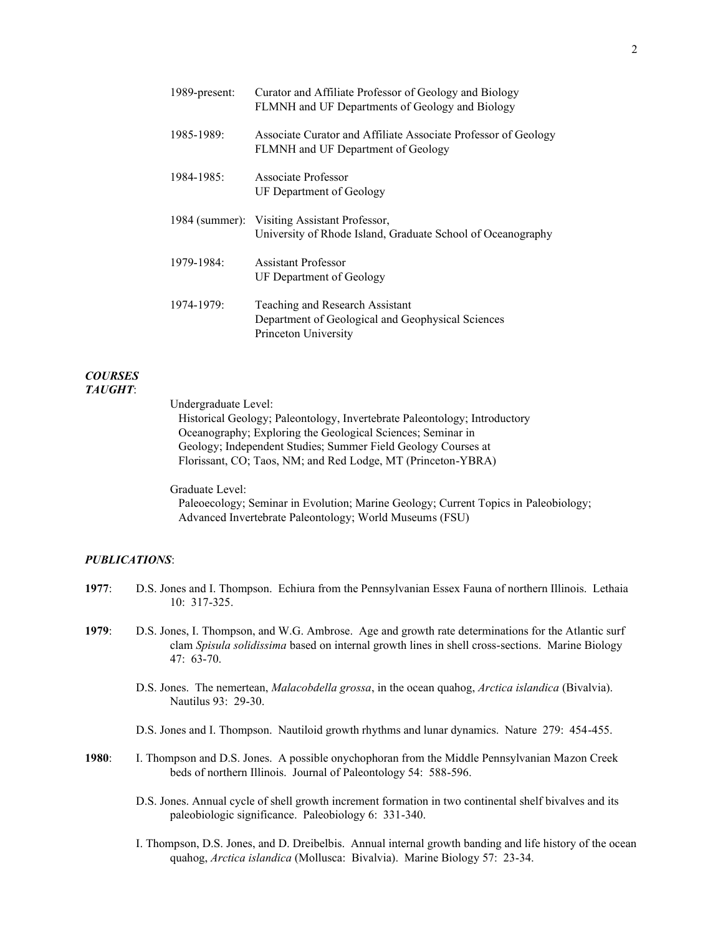| 1989-present: | Curator and Affiliate Professor of Geology and Biology<br>FLMNH and UF Departments of Geology and Biology    |
|---------------|--------------------------------------------------------------------------------------------------------------|
| 1985-1989:    | Associate Curator and Affiliate Associate Professor of Geology<br>FLMNH and UF Department of Geology         |
| 1984-1985:    | Associate Professor<br>UF Department of Geology                                                              |
|               | 1984 (summer): Visiting Assistant Professor,<br>University of Rhode Island, Graduate School of Oceanography  |
| 1979-1984:    | <b>Assistant Professor</b><br>UF Department of Geology                                                       |
| 1974-1979:    | Teaching and Research Assistant<br>Department of Geological and Geophysical Sciences<br>Princeton University |

#### *COURSES TAUGHT*:

Undergraduate Level:

Historical Geology; Paleontology, Invertebrate Paleontology; Introductory Oceanography; Exploring the Geological Sciences; Seminar in Geology; Independent Studies; Summer Field Geology Courses at Florissant, CO; Taos, NM; and Red Lodge, MT (Princeton-YBRA)

Graduate Level: Paleoecology; Seminar in Evolution; Marine Geology; Current Topics in Paleobiology; Advanced Invertebrate Paleontology; World Museums (FSU)

# *PUBLICATIONS*:

- **1977**: D.S. Jones and I. Thompson. Echiura from the Pennsylvanian Essex Fauna of northern Illinois. Lethaia 10: 317-325.
- **1979**: D.S. Jones, I. Thompson, and W.G. Ambrose. Age and growth rate determinations for the Atlantic surf clam *Spisula solidissima* based on internal growth lines in shell cross-sections. Marine Biology 47: 63-70.
	- D.S. Jones. The nemertean, *Malacobdella grossa*, in the ocean quahog, *Arctica islandica* (Bivalvia). Nautilus 93: 29-30.
	- D.S. Jones and I. Thompson. Nautiloid growth rhythms and lunar dynamics. Nature 279: 454-455.
- **1980**: I. Thompson and D.S. Jones. A possible onychophoran from the Middle Pennsylvanian Mazon Creek beds of northern Illinois. Journal of Paleontology 54: 588-596.
	- D.S. Jones. Annual cycle of shell growth increment formation in two continental shelf bivalves and its paleobiologic significance. Paleobiology 6: 331-340.
	- I. Thompson, D.S. Jones, and D. Dreibelbis. Annual internal growth banding and life history of the ocean quahog, *Arctica islandica* (Mollusca: Bivalvia). Marine Biology 57: 23-34.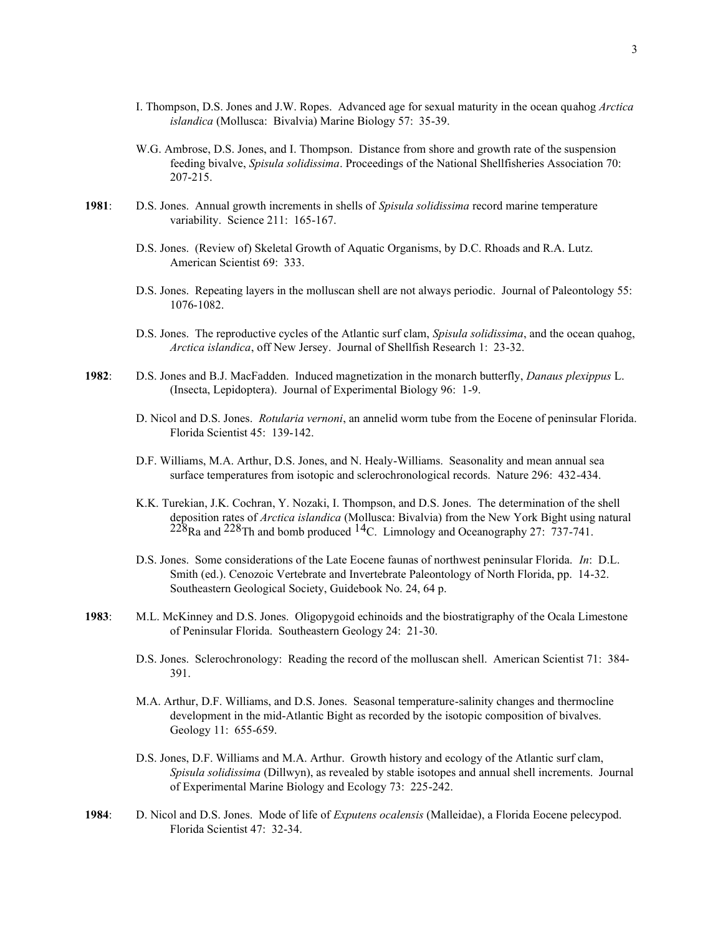- I. Thompson, D.S. Jones and J.W. Ropes. Advanced age for sexual maturity in the ocean quahog *Arctica islandica* (Mollusca: Bivalvia) Marine Biology 57: 35-39.
- W.G. Ambrose, D.S. Jones, and I. Thompson. Distance from shore and growth rate of the suspension feeding bivalve, *Spisula solidissima*. Proceedings of the National Shellfisheries Association 70: 207-215.
- **1981**: D.S. Jones. Annual growth increments in shells of *Spisula solidissima* record marine temperature variability. Science 211: 165-167.
	- D.S. Jones. (Review of) Skeletal Growth of Aquatic Organisms, by D.C. Rhoads and R.A. Lutz. American Scientist 69: 333.
	- D.S. Jones. Repeating layers in the molluscan shell are not always periodic. Journal of Paleontology 55: 1076-1082.
	- D.S. Jones. The reproductive cycles of the Atlantic surf clam, *Spisula solidissima*, and the ocean quahog, *Arctica islandica*, off New Jersey. Journal of Shellfish Research 1: 23-32.
- **1982**: D.S. Jones and B.J. MacFadden. Induced magnetization in the monarch butterfly, *Danaus plexippus* L. (Insecta, Lepidoptera). Journal of Experimental Biology 96: 1-9.
	- D. Nicol and D.S. Jones. *Rotularia vernoni*, an annelid worm tube from the Eocene of peninsular Florida. Florida Scientist 45: 139-142.
	- D.F. Williams, M.A. Arthur, D.S. Jones, and N. Healy-Williams. Seasonality and mean annual sea surface temperatures from isotopic and sclerochronological records. Nature 296: 432-434.
	- K.K. Turekian, J.K. Cochran, Y. Nozaki, I. Thompson, and D.S. Jones. The determination of the shell deposition rates of *Arctica islandica* (Mollusca: Bivalvia) from the New York Bight using natural  $228$ Ra and  $228$ Th and bomb produced  $14$ C. Limnology and Oceanography 27: 737-741.
	- D.S. Jones. Some considerations of the Late Eocene faunas of northwest peninsular Florida. *In*: D.L. Smith (ed.). Cenozoic Vertebrate and Invertebrate Paleontology of North Florida, pp. 14-32. Southeastern Geological Society, Guidebook No. 24, 64 p.
- **1983**: M.L. McKinney and D.S. Jones. Oligopygoid echinoids and the biostratigraphy of the Ocala Limestone of Peninsular Florida. Southeastern Geology 24: 21-30.
	- D.S. Jones. Sclerochronology: Reading the record of the molluscan shell. American Scientist 71: 384- 391.
	- M.A. Arthur, D.F. Williams, and D.S. Jones. Seasonal temperature-salinity changes and thermocline development in the mid-Atlantic Bight as recorded by the isotopic composition of bivalves. Geology 11: 655-659.
	- D.S. Jones, D.F. Williams and M.A. Arthur. Growth history and ecology of the Atlantic surf clam, *Spisula solidissima* (Dillwyn), as revealed by stable isotopes and annual shell increments. Journal of Experimental Marine Biology and Ecology 73: 225-242.
- **1984**: D. Nicol and D.S. Jones. Mode of life of *Exputens ocalensis* (Malleidae), a Florida Eocene pelecypod. Florida Scientist 47: 32-34.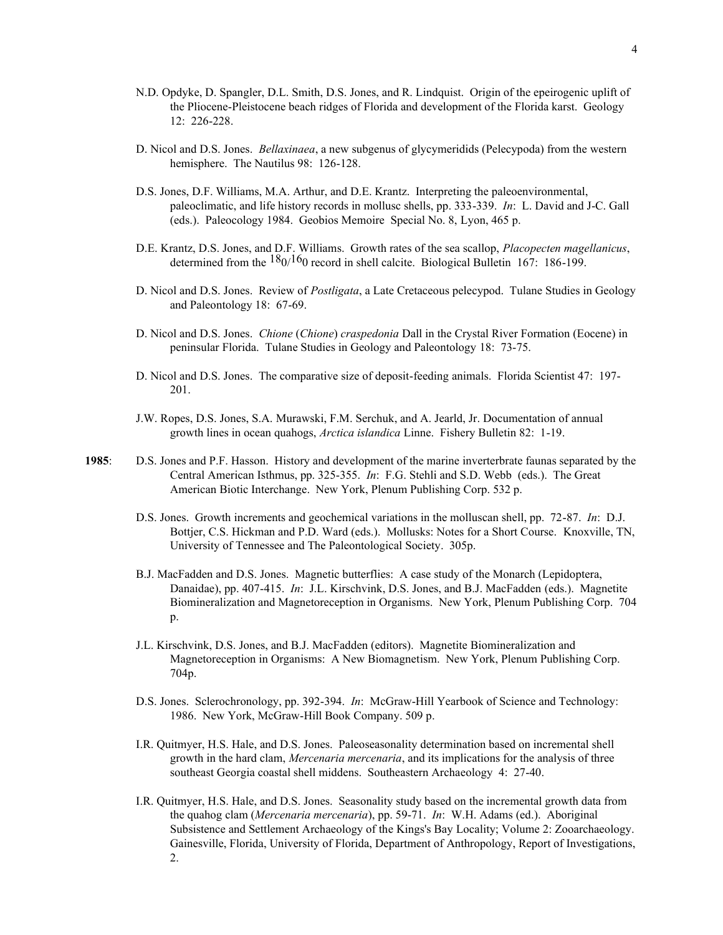- N.D. Opdyke, D. Spangler, D.L. Smith, D.S. Jones, and R. Lindquist. Origin of the epeirogenic uplift of the Pliocene-Pleistocene beach ridges of Florida and development of the Florida karst. Geology 12: 226-228.
- D. Nicol and D.S. Jones. *Bellaxinaea*, a new subgenus of glycymeridids (Pelecypoda) from the western hemisphere. The Nautilus 98: 126-128.
- D.S. Jones, D.F. Williams, M.A. Arthur, and D.E. Krantz. Interpreting the paleoenvironmental, paleoclimatic, and life history records in mollusc shells, pp. 333-339. *In*: L. David and J-C. Gall (eds.). Paleocology 1984. Geobios Memoire Special No. 8, Lyon, 465 p.
- D.E. Krantz, D.S. Jones, and D.F. Williams. Growth rates of the sea scallop, *Placopecten magellanicus*, determined from the  $\frac{180}{160}$  record in shell calcite. Biological Bulletin 167: 186-199.
- D. Nicol and D.S. Jones. Review of *Postligata*, a Late Cretaceous pelecypod. Tulane Studies in Geology and Paleontology 18: 67-69.
- D. Nicol and D.S. Jones. *Chione* (*Chione*) *craspedonia* Dall in the Crystal River Formation (Eocene) in peninsular Florida. Tulane Studies in Geology and Paleontology 18: 73-75.
- D. Nicol and D.S. Jones. The comparative size of deposit-feeding animals. Florida Scientist 47: 197- 201.
- J.W. Ropes, D.S. Jones, S.A. Murawski, F.M. Serchuk, and A. Jearld, Jr. Documentation of annual growth lines in ocean quahogs, *Arctica islandica* Linne. Fishery Bulletin 82: 1-19.
- **1985**: D.S. Jones and P.F. Hasson. History and development of the marine inverterbrate faunas separated by the Central American Isthmus, pp. 325-355. *In*: F.G. Stehli and S.D. Webb (eds.). The Great American Biotic Interchange. New York, Plenum Publishing Corp. 532 p.
	- D.S. Jones. Growth increments and geochemical variations in the molluscan shell, pp. 72-87. *In*: D.J. Bottjer, C.S. Hickman and P.D. Ward (eds.). Mollusks: Notes for a Short Course. Knoxville, TN, University of Tennessee and The Paleontological Society. 305p.
	- B.J. MacFadden and D.S. Jones. Magnetic butterflies: A case study of the Monarch (Lepidoptera, Danaidae), pp. 407-415. *In*: J.L. Kirschvink, D.S. Jones, and B.J. MacFadden (eds.). Magnetite Biomineralization and Magnetoreception in Organisms. New York, Plenum Publishing Corp. 704 p.
	- J.L. Kirschvink, D.S. Jones, and B.J. MacFadden (editors). Magnetite Biomineralization and Magnetoreception in Organisms: A New Biomagnetism. New York, Plenum Publishing Corp. 704p.
	- D.S. Jones. Sclerochronology, pp. 392-394. *In*: McGraw-Hill Yearbook of Science and Technology: 1986. New York, McGraw-Hill Book Company. 509 p.
	- I.R. Quitmyer, H.S. Hale, and D.S. Jones. Paleoseasonality determination based on incremental shell growth in the hard clam, *Mercenaria mercenaria*, and its implications for the analysis of three southeast Georgia coastal shell middens. Southeastern Archaeology 4: 27-40.
	- I.R. Quitmyer, H.S. Hale, and D.S. Jones. Seasonality study based on the incremental growth data from the quahog clam (*Mercenaria mercenaria*), pp. 59-71. *In*: W.H. Adams (ed.). Aboriginal Subsistence and Settlement Archaeology of the Kings's Bay Locality; Volume 2: Zooarchaeology. Gainesville, Florida, University of Florida, Department of Anthropology, Report of Investigations, 2.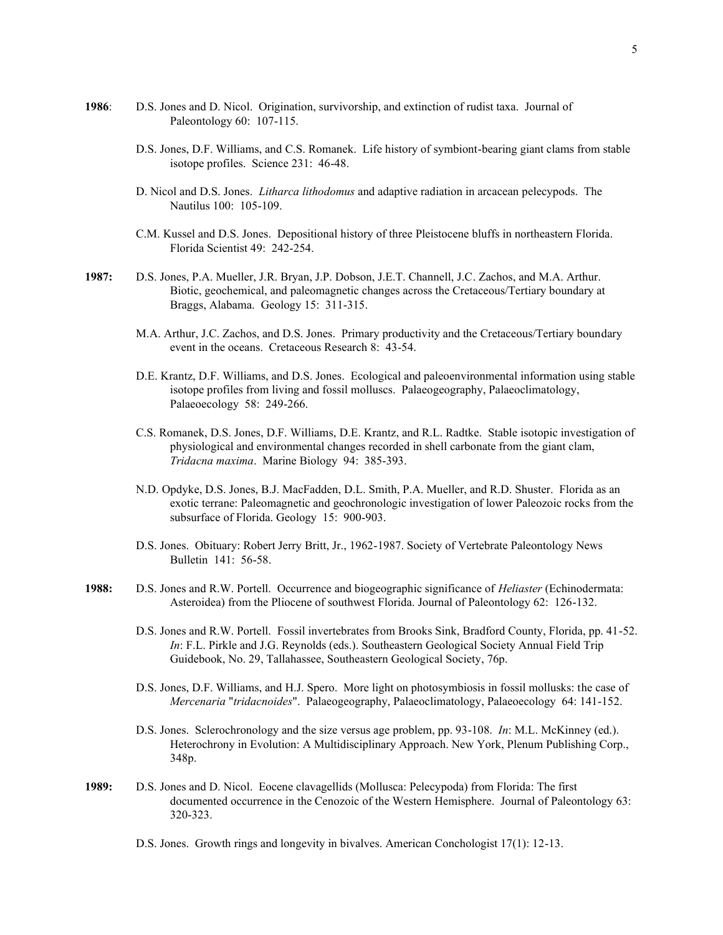- **1986**: D.S. Jones and D. Nicol. Origination, survivorship, and extinction of rudist taxa. Journal of Paleontology 60: 107-115.
	- D.S. Jones, D.F. Williams, and C.S. Romanek. Life history of symbiont-bearing giant clams from stable isotope profiles. Science 231: 46-48.
	- D. Nicol and D.S. Jones. *Litharca lithodomus* and adaptive radiation in arcacean pelecypods. The Nautilus 100: 105-109.
	- C.M. Kussel and D.S. Jones. Depositional history of three Pleistocene bluffs in northeastern Florida. Florida Scientist 49: 242-254.
- **1987:** D.S. Jones, P.A. Mueller, J.R. Bryan, J.P. Dobson, J.E.T. Channell, J.C. Zachos, and M.A. Arthur. Biotic, geochemical, and paleomagnetic changes across the Cretaceous/Tertiary boundary at Braggs, Alabama. Geology 15: 311-315.
	- M.A. Arthur, J.C. Zachos, and D.S. Jones. Primary productivity and the Cretaceous/Tertiary boundary event in the oceans. Cretaceous Research 8: 43-54.
	- D.E. Krantz, D.F. Williams, and D.S. Jones. Ecological and paleoenvironmental information using stable isotope profiles from living and fossil molluscs. Palaeogeography, Palaeoclimatology, Palaeoecology 58: 249-266.
	- C.S. Romanek, D.S. Jones, D.F. Williams, D.E. Krantz, and R.L. Radtke. Stable isotopic investigation of physiological and environmental changes recorded in shell carbonate from the giant clam, *Tridacna maxima*. Marine Biology 94: 385-393.
	- N.D. Opdyke, D.S. Jones, B.J. MacFadden, D.L. Smith, P.A. Mueller, and R.D. Shuster. Florida as an exotic terrane: Paleomagnetic and geochronologic investigation of lower Paleozoic rocks from the subsurface of Florida. Geology 15: 900-903.
	- D.S. Jones. Obituary: Robert Jerry Britt, Jr., 1962-1987. Society of Vertebrate Paleontology News Bulletin 141: 56-58.
- **1988:** D.S. Jones and R.W. Portell. Occurrence and biogeographic significance of *Heliaster* (Echinodermata: Asteroidea) from the Pliocene of southwest Florida. Journal of Paleontology 62: 126-132.
	- D.S. Jones and R.W. Portell. Fossil invertebrates from Brooks Sink, Bradford County, Florida, pp. 41-52. *In*: F.L. Pirkle and J.G. Reynolds (eds.). Southeastern Geological Society Annual Field Trip Guidebook, No. 29, Tallahassee, Southeastern Geological Society, 76p.
	- D.S. Jones, D.F. Williams, and H.J. Spero. More light on photosymbiosis in fossil mollusks: the case of *Mercenaria* "*tridacnoides*". Palaeogeography, Palaeoclimatology, Palaeoecology 64: 141-152.
	- D.S. Jones. Sclerochronology and the size versus age problem, pp. 93-108. *In*: M.L. McKinney (ed.). Heterochrony in Evolution: A Multidisciplinary Approach. New York, Plenum Publishing Corp., 348p.
- **1989:** D.S. Jones and D. Nicol. Eocene clavagellids (Mollusca: Pelecypoda) from Florida: The first documented occurrence in the Cenozoic of the Western Hemisphere. Journal of Paleontology 63: 320-323.
	- D.S. Jones. Growth rings and longevity in bivalves. American Conchologist 17(1): 12-13.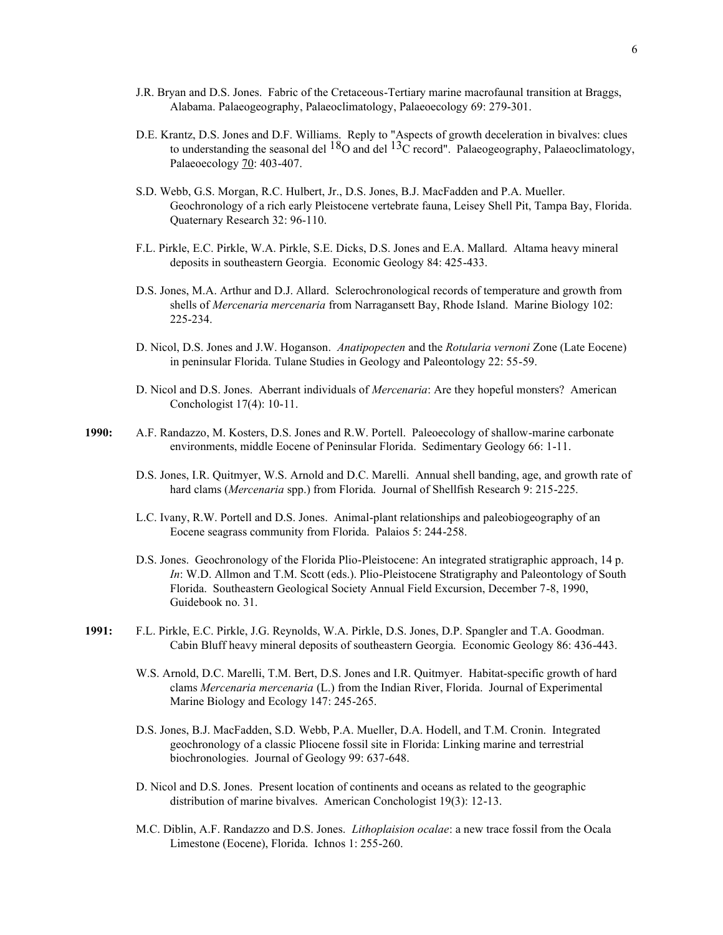- J.R. Bryan and D.S. Jones. Fabric of the Cretaceous-Tertiary marine macrofaunal transition at Braggs, Alabama. Palaeogeography, Palaeoclimatology, Palaeoecology 69: 279-301.
- D.E. Krantz, D.S. Jones and D.F. Williams. Reply to "Aspects of growth deceleration in bivalves: clues to understanding the seasonal del  $^{18}O$  and del  $^{13}C$  record". Palaeogeography, Palaeoclimatology, Palaeoecology 70: 403-407.
- S.D. Webb, G.S. Morgan, R.C. Hulbert, Jr., D.S. Jones, B.J. MacFadden and P.A. Mueller. Geochronology of a rich early Pleistocene vertebrate fauna, Leisey Shell Pit, Tampa Bay, Florida. Quaternary Research 32: 96-110.
- F.L. Pirkle, E.C. Pirkle, W.A. Pirkle, S.E. Dicks, D.S. Jones and E.A. Mallard. Altama heavy mineral deposits in southeastern Georgia. Economic Geology 84: 425-433.
- D.S. Jones, M.A. Arthur and D.J. Allard. Sclerochronological records of temperature and growth from shells of *Mercenaria mercenaria* from Narragansett Bay, Rhode Island. Marine Biology 102: 225-234.
- D. Nicol, D.S. Jones and J.W. Hoganson. *Anatipopecten* and the *Rotularia vernoni* Zone (Late Eocene) in peninsular Florida. Tulane Studies in Geology and Paleontology 22: 55-59.
- D. Nicol and D.S. Jones. Aberrant individuals of *Mercenaria*: Are they hopeful monsters? American Conchologist 17(4): 10-11.
- **1990:** A.F. Randazzo, M. Kosters, D.S. Jones and R.W. Portell. Paleoecology of shallow-marine carbonate environments, middle Eocene of Peninsular Florida. Sedimentary Geology 66: 1-11.
	- D.S. Jones, I.R. Quitmyer, W.S. Arnold and D.C. Marelli. Annual shell banding, age, and growth rate of hard clams (*Mercenaria* spp.) from Florida. Journal of Shellfish Research 9: 215-225.
	- L.C. Ivany, R.W. Portell and D.S. Jones. Animal-plant relationships and paleobiogeography of an Eocene seagrass community from Florida. Palaios 5: 244-258.
	- D.S. Jones. Geochronology of the Florida Plio-Pleistocene: An integrated stratigraphic approach, 14 p. *In*: W.D. Allmon and T.M. Scott (eds.). Plio-Pleistocene Stratigraphy and Paleontology of South Florida. Southeastern Geological Society Annual Field Excursion, December 7-8, 1990, Guidebook no. 31.
- **1991:** F.L. Pirkle, E.C. Pirkle, J.G. Reynolds, W.A. Pirkle, D.S. Jones, D.P. Spangler and T.A. Goodman. Cabin Bluff heavy mineral deposits of southeastern Georgia. Economic Geology 86: 436-443.
	- W.S. Arnold, D.C. Marelli, T.M. Bert, D.S. Jones and I.R. Quitmyer. Habitat-specific growth of hard clams *Mercenaria mercenaria* (L.) from the Indian River, Florida. Journal of Experimental Marine Biology and Ecology 147: 245-265.
	- D.S. Jones, B.J. MacFadden, S.D. Webb, P.A. Mueller, D.A. Hodell, and T.M. Cronin. Integrated geochronology of a classic Pliocene fossil site in Florida: Linking marine and terrestrial biochronologies. Journal of Geology 99: 637-648.
	- D. Nicol and D.S. Jones. Present location of continents and oceans as related to the geographic distribution of marine bivalves. American Conchologist 19(3): 12-13.
	- M.C. Diblin, A.F. Randazzo and D.S. Jones. *Lithoplaision ocalae*: a new trace fossil from the Ocala Limestone (Eocene), Florida. Ichnos 1: 255-260.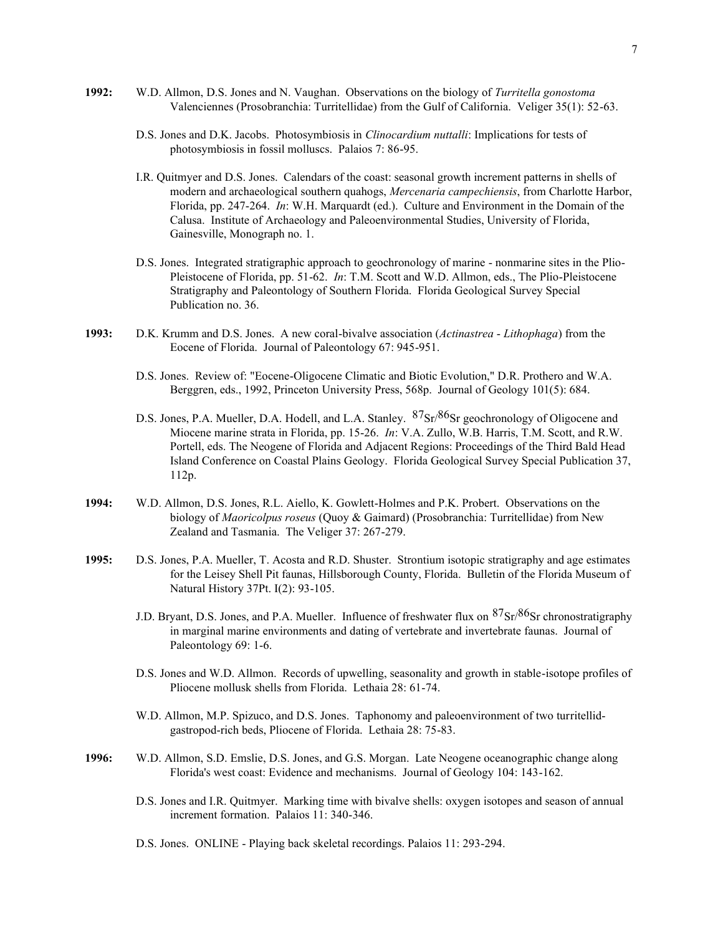- **1992:** W.D. Allmon, D.S. Jones and N. Vaughan. Observations on the biology of *Turritella gonostoma* Valenciennes (Prosobranchia: Turritellidae) from the Gulf of California. Veliger 35(1): 52-63.
	- D.S. Jones and D.K. Jacobs. Photosymbiosis in *Clinocardium nuttalli*: Implications for tests of photosymbiosis in fossil molluscs. Palaios 7: 86-95.
	- I.R. Quitmyer and D.S. Jones. Calendars of the coast: seasonal growth increment patterns in shells of modern and archaeological southern quahogs, *Mercenaria campechiensis*, from Charlotte Harbor, Florida, pp. 247-264. *In*: W.H. Marquardt (ed.). Culture and Environment in the Domain of the Calusa. Institute of Archaeology and Paleoenvironmental Studies, University of Florida, Gainesville, Monograph no. 1.
	- D.S. Jones. Integrated stratigraphic approach to geochronology of marine nonmarine sites in the Plio-Pleistocene of Florida, pp. 51-62. *In*: T.M. Scott and W.D. Allmon, eds., The Plio-Pleistocene Stratigraphy and Paleontology of Southern Florida. Florida Geological Survey Special Publication no. 36.
- **1993:** D.K. Krumm and D.S. Jones. A new coral-bivalve association (*Actinastrea Lithophaga*) from the Eocene of Florida. Journal of Paleontology 67: 945-951.
	- D.S. Jones. Review of: "Eocene-Oligocene Climatic and Biotic Evolution," D.R. Prothero and W.A. Berggren, eds., 1992, Princeton University Press, 568p. Journal of Geology 101(5): 684.
	- D.S. Jones, P.A. Mueller, D.A. Hodell, and L.A. Stanley.  $87\text{Sr}/86\text{Sr}$  geochronology of Oligocene and Miocene marine strata in Florida, pp. 15-26. *In*: V.A. Zullo, W.B. Harris, T.M. Scott, and R.W. Portell, eds. The Neogene of Florida and Adjacent Regions: Proceedings of the Third Bald Head Island Conference on Coastal Plains Geology. Florida Geological Survey Special Publication 37, 112p.
- **1994:** W.D. Allmon, D.S. Jones, R.L. Aiello, K. Gowlett-Holmes and P.K. Probert. Observations on the biology of *Maoricolpus roseus* (Quoy & Gaimard) (Prosobranchia: Turritellidae) from New Zealand and Tasmania. The Veliger 37: 267-279.
- **1995:** D.S. Jones, P.A. Mueller, T. Acosta and R.D. Shuster. Strontium isotopic stratigraphy and age estimates for the Leisey Shell Pit faunas, Hillsborough County, Florida. Bulletin of the Florida Museum of Natural History 37Pt. I(2): 93-105.
	- J.D. Bryant, D.S. Jones, and P.A. Mueller. Influence of freshwater flux on  $87\text{Sr}/86\text{Sr}$  chronostratigraphy in marginal marine environments and dating of vertebrate and invertebrate faunas. Journal of Paleontology 69: 1-6.
	- D.S. Jones and W.D. Allmon. Records of upwelling, seasonality and growth in stable-isotope profiles of Pliocene mollusk shells from Florida. Lethaia 28: 61-74.
	- W.D. Allmon, M.P. Spizuco, and D.S. Jones. Taphonomy and paleoenvironment of two turritellidgastropod-rich beds, Pliocene of Florida. Lethaia 28: 75-83.
- **1996:** W.D. Allmon, S.D. Emslie, D.S. Jones, and G.S. Morgan. Late Neogene oceanographic change along Florida's west coast: Evidence and mechanisms. Journal of Geology 104: 143-162.
	- D.S. Jones and I.R. Quitmyer. Marking time with bivalve shells: oxygen isotopes and season of annual increment formation. Palaios 11: 340-346.
	- D.S. Jones. ONLINE Playing back skeletal recordings. Palaios 11: 293-294.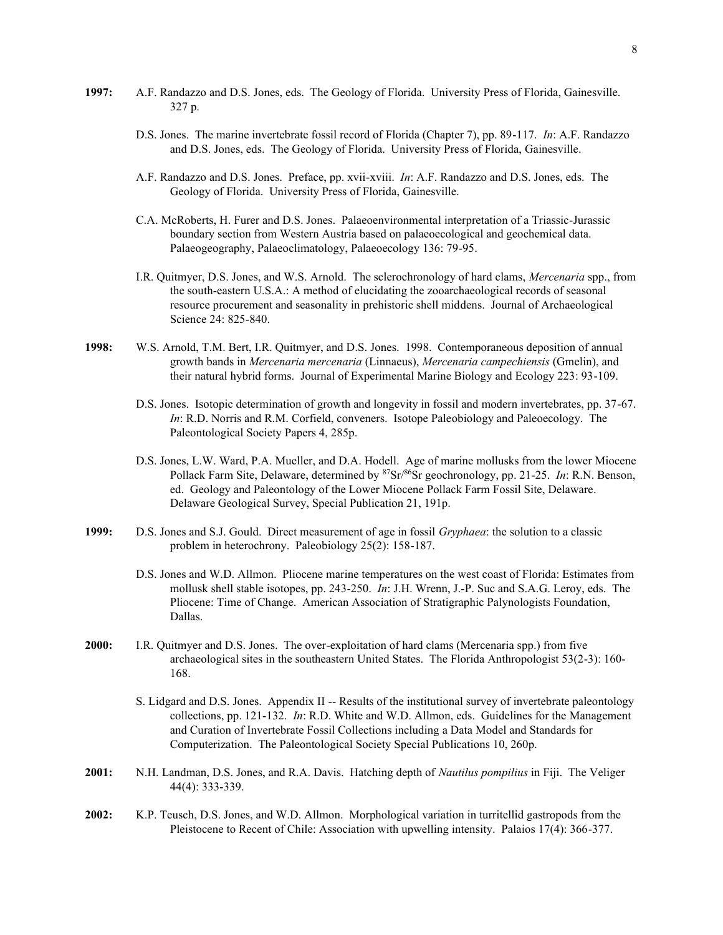- **1997:** A.F. Randazzo and D.S. Jones, eds. The Geology of Florida. University Press of Florida, Gainesville. 327 p.
	- D.S. Jones. The marine invertebrate fossil record of Florida (Chapter 7), pp. 89-117. *In*: A.F. Randazzo and D.S. Jones, eds. The Geology of Florida. University Press of Florida, Gainesville.
	- A.F. Randazzo and D.S. Jones. Preface, pp. xvii-xviii. *In*: A.F. Randazzo and D.S. Jones, eds. The Geology of Florida. University Press of Florida, Gainesville.
	- C.A. McRoberts, H. Furer and D.S. Jones. Palaeoenvironmental interpretation of a Triassic-Jurassic boundary section from Western Austria based on palaeoecological and geochemical data. Palaeogeography, Palaeoclimatology, Palaeoecology 136: 79-95.
	- I.R. Quitmyer, D.S. Jones, and W.S. Arnold. The sclerochronology of hard clams, *Mercenaria* spp., from the south-eastern U.S.A.: A method of elucidating the zooarchaeological records of seasonal resource procurement and seasonality in prehistoric shell middens. Journal of Archaeological Science 24: 825-840.
- **1998:** W.S. Arnold, T.M. Bert, I.R. Quitmyer, and D.S. Jones. 1998. Contemporaneous deposition of annual growth bands in *Mercenaria mercenaria* (Linnaeus), *Mercenaria campechiensis* (Gmelin), and their natural hybrid forms. Journal of Experimental Marine Biology and Ecology 223: 93-109.
	- D.S. Jones. Isotopic determination of growth and longevity in fossil and modern invertebrates, pp. 37-67. *In*: R.D. Norris and R.M. Corfield, conveners. Isotope Paleobiology and Paleoecology. The Paleontological Society Papers 4, 285p.
	- D.S. Jones, L.W. Ward, P.A. Mueller, and D.A. Hodell. Age of marine mollusks from the lower Miocene Pollack Farm Site, Delaware, determined by <sup>87</sup>Sr/<sup>86</sup>Sr geochronology, pp. 21-25. *In*: R.N. Benson, ed. Geology and Paleontology of the Lower Miocene Pollack Farm Fossil Site, Delaware. Delaware Geological Survey, Special Publication 21, 191p.
- **1999:** D.S. Jones and S.J. Gould. Direct measurement of age in fossil *Gryphaea*: the solution to a classic problem in heterochrony. Paleobiology 25(2): 158-187.
	- D.S. Jones and W.D. Allmon. Pliocene marine temperatures on the west coast of Florida: Estimates from mollusk shell stable isotopes, pp. 243-250. *In*: J.H. Wrenn, J.-P. Suc and S.A.G. Leroy, eds. The Pliocene: Time of Change. American Association of Stratigraphic Palynologists Foundation, Dallas.
- **2000:** I.R. Quitmyer and D.S. Jones. The over-exploitation of hard clams (Mercenaria spp.) from five archaeological sites in the southeastern United States. The Florida Anthropologist 53(2-3): 160- 168.
	- S. Lidgard and D.S. Jones. Appendix II -- Results of the institutional survey of invertebrate paleontology collections, pp. 121-132. *In*: R.D. White and W.D. Allmon, eds. Guidelines for the Management and Curation of Invertebrate Fossil Collections including a Data Model and Standards for Computerization. The Paleontological Society Special Publications 10, 260p.
- **2001:** N.H. Landman, D.S. Jones, and R.A. Davis. Hatching depth of *Nautilus pompilius* in Fiji. The Veliger 44(4): 333-339.
- **2002:** K.P. Teusch, D.S. Jones, and W.D. Allmon. Morphological variation in turritellid gastropods from the Pleistocene to Recent of Chile: Association with upwelling intensity. Palaios 17(4): 366-377.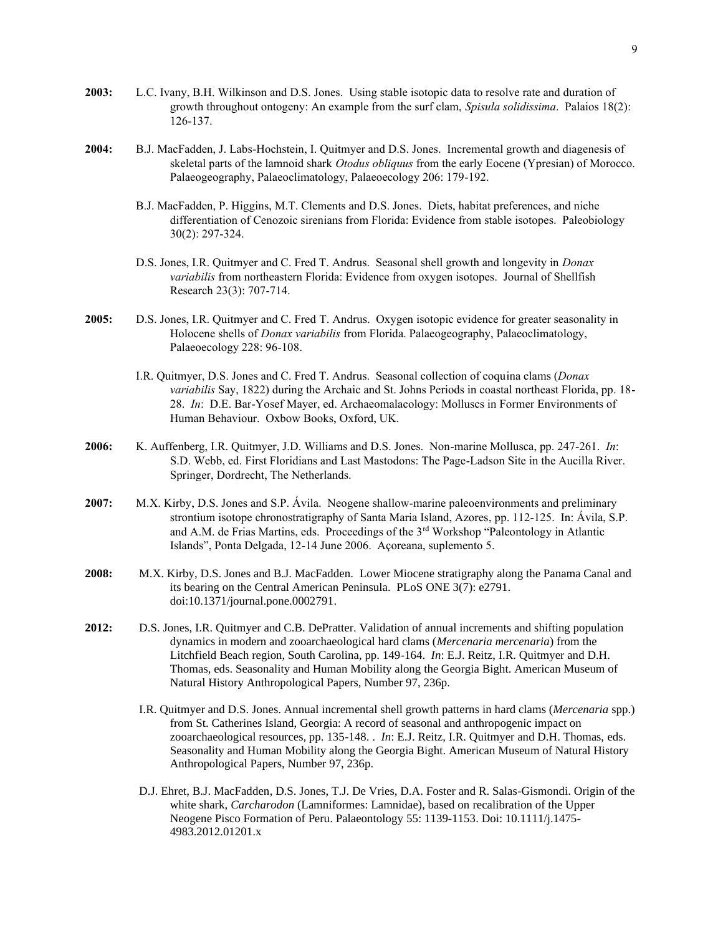- **2003:** L.C. Ivany, B.H. Wilkinson and D.S. Jones. Using stable isotopic data to resolve rate and duration of growth throughout ontogeny: An example from the surf clam, *Spisula solidissima*. Palaios 18(2): 126-137.
- **2004:** B.J. MacFadden, J. Labs-Hochstein, I. Quitmyer and D.S. Jones. Incremental growth and diagenesis of skeletal parts of the lamnoid shark *Otodus obliquus* from the early Eocene (Ypresian) of Morocco. Palaeogeography, Palaeoclimatology, Palaeoecology 206: 179-192.
	- B.J. MacFadden, P. Higgins, M.T. Clements and D.S. Jones. Diets, habitat preferences, and niche differentiation of Cenozoic sirenians from Florida: Evidence from stable isotopes. Paleobiology 30(2): 297-324.
	- D.S. Jones, I.R. Quitmyer and C. Fred T. Andrus. Seasonal shell growth and longevity in *Donax variabilis* from northeastern Florida: Evidence from oxygen isotopes. Journal of Shellfish Research 23(3): 707-714.
- **2005:** D.S. Jones, I.R. Quitmyer and C. Fred T. Andrus. Oxygen isotopic evidence for greater seasonality in Holocene shells of *Donax variabilis* from Florida. Palaeogeography, Palaeoclimatology, Palaeoecology 228: 96-108.
	- I.R. Quitmyer, D.S. Jones and C. Fred T. Andrus. Seasonal collection of coquina clams (*Donax variabilis* Say, 1822) during the Archaic and St. Johns Periods in coastal northeast Florida, pp. 18- 28. *In*: D.E. Bar-Yosef Mayer, ed. Archaeomalacology: Molluscs in Former Environments of Human Behaviour. Oxbow Books, Oxford, UK.
- **2006:** K. Auffenberg, I.R. Quitmyer, J.D. Williams and D.S. Jones. Non-marine Mollusca, pp. 247-261. *In*: S.D. Webb, ed. First Floridians and Last Mastodons: The Page-Ladson Site in the Aucilla River. Springer, Dordrecht, The Netherlands.
- **2007:** M.X. Kirby, D.S. Jones and S.P. Ávila. Neogene shallow-marine paleoenvironments and preliminary strontium isotope chronostratigraphy of Santa Maria Island, Azores, pp. 112-125. In: Ávila, S.P. and A.M. de Frias Martins, eds. Proceedings of the 3rd Workshop "Paleontology in Atlantic Islands", Ponta Delgada, 12-14 June 2006. Açoreana, suplemento 5.
- **2008:** M.X. Kirby, D.S. Jones and B.J. MacFadden. Lower Miocene stratigraphy along the Panama Canal and its bearing on the Central American Peninsula. PLoS ONE 3(7): e2791. doi:10.1371/journal.pone.0002791.
- **2012:** D.S. Jones, I.R. Quitmyer and C.B. DePratter. Validation of annual increments and shifting population dynamics in modern and zooarchaeological hard clams (*Mercenaria mercenaria*) from the Litchfield Beach region, South Carolina, pp. 149-164. *In*: E.J. Reitz, I.R. Quitmyer and D.H. Thomas, eds. Seasonality and Human Mobility along the Georgia Bight. American Museum of Natural History Anthropological Papers, Number 97, 236p.
	- I.R. Quitmyer and D.S. Jones. Annual incremental shell growth patterns in hard clams (*Mercenaria* spp.) from St. Catherines Island, Georgia: A record of seasonal and anthropogenic impact on zooarchaeological resources, pp. 135-148. . *In*: E.J. Reitz, I.R. Quitmyer and D.H. Thomas, eds. Seasonality and Human Mobility along the Georgia Bight. American Museum of Natural History Anthropological Papers, Number 97, 236p.
	- D.J. Ehret, B.J. MacFadden, D.S. Jones, T.J. De Vries, D.A. Foster and R. Salas-Gismondi. Origin of the white shark, *Carcharodon* (Lamniformes: Lamnidae), based on recalibration of the Upper Neogene Pisco Formation of Peru. Palaeontology 55: 1139-1153. Doi: 10.1111/j.1475- 4983.2012.01201.x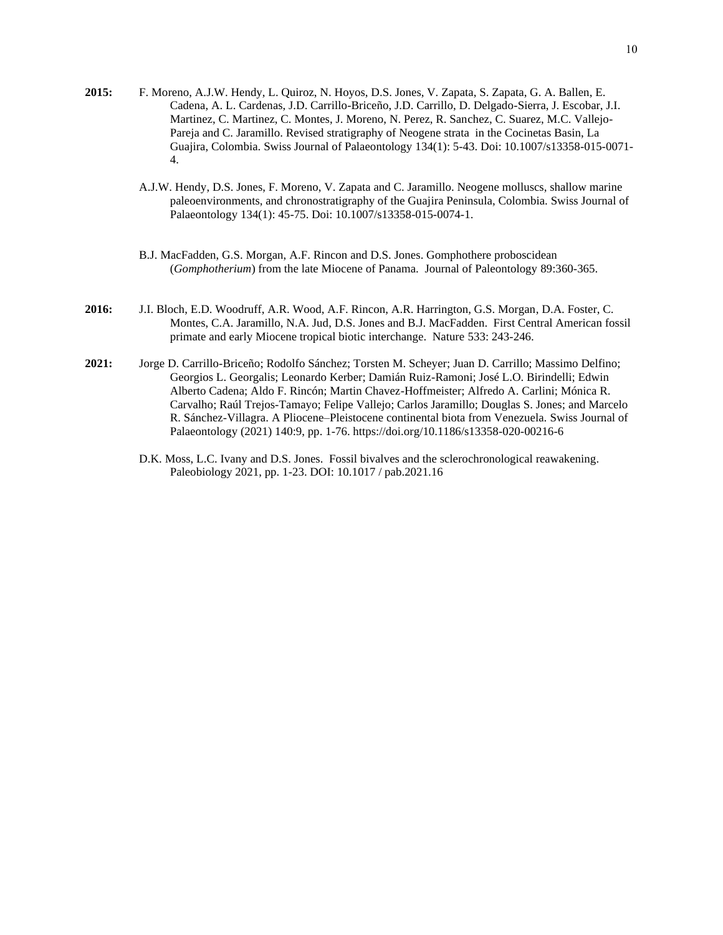- **2015:** F. Moreno, A.J.W. Hendy, L. Quiroz, N. Hoyos, D.S. Jones, V. Zapata, S. Zapata, G. A. Ballen, E. Cadena, A. L. Cardenas, J.D. Carrillo-Briceño, J.D. Carrillo, D. Delgado-Sierra, J. Escobar, J.I. Martinez, C. Martinez, C. Montes, J. Moreno, N. Perez, R. Sanchez, C. Suarez, M.C. Vallejo-Pareja and C. Jaramillo. Revised stratigraphy of Neogene strata in the Cocinetas Basin, La Guajira, Colombia. Swiss Journal of Palaeontology 134(1): 5-43. Doi: 10.1007/s13358-015-0071- 4.
	- A.J.W. Hendy, D.S. Jones, F. Moreno, V. Zapata and C. Jaramillo. Neogene molluscs, shallow marine paleoenvironments, and chronostratigraphy of the Guajira Peninsula, Colombia. Swiss Journal of Palaeontology 134(1): 45-75. Doi: 10.1007/s13358-015-0074-1.
	- B.J. MacFadden, G.S. Morgan, A.F. Rincon and D.S. Jones. Gomphothere proboscidean (*Gomphotherium*) from the late Miocene of Panama. Journal of Paleontology 89:360-365.
- **2016:** J.I. Bloch, E.D. Woodruff, A.R. Wood, A.F. Rincon, A.R. Harrington, G.S. Morgan, D.A. Foster, C. Montes, C.A. Jaramillo, N.A. Jud, D.S. Jones and B.J. MacFadden. First Central American fossil primate and early Miocene tropical biotic interchange. Nature 533: 243-246.
- **2021:** Jorge D. Carrillo-Briceño; Rodolfo Sánchez; Torsten M. Scheyer; Juan D. Carrillo; Massimo Delfino; Georgios L. Georgalis; Leonardo Kerber; Damián Ruiz-Ramoni; José L.O. Birindelli; Edwin Alberto Cadena; Aldo F. Rincón; Martin Chavez-Hoffmeister; Alfredo A. Carlini; Mónica R. Carvalho; Raúl Trejos-Tamayo; Felipe Vallejo; Carlos Jaramillo; Douglas S. Jones; and Marcelo R. Sánchez-Villagra. A Pliocene–Pleistocene continental biota from Venezuela. Swiss Journal of Palaeontology (2021) 140:9, pp. 1-76. https://doi.org/10.1186/s13358-020-00216-6
	- D.K. Moss, L.C. Ivany and D.S. Jones. Fossil bivalves and the sclerochronological reawakening. Paleobiology 2021, pp. 1-23. DOI: 10.1017 / pab.2021.16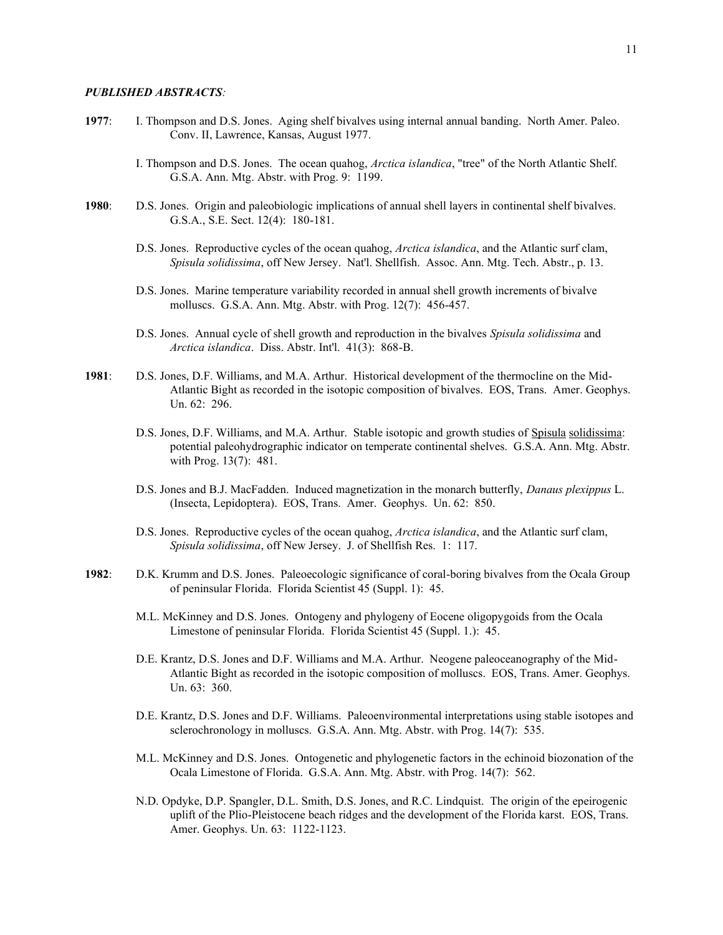- **1977**: I. Thompson and D.S. Jones. Aging shelf bivalves using internal annual banding. North Amer. Paleo. Conv. II, Lawrence, Kansas, August 1977.
	- I. Thompson and D.S. Jones. The ocean quahog, *Arctica islandica*, "tree" of the North Atlantic Shelf. G.S.A. Ann. Mtg. Abstr. with Prog. 9: 1199.
- **1980**: D.S. Jones. Origin and paleobiologic implications of annual shell layers in continental shelf bivalves. G.S.A., S.E. Sect. 12(4): 180-181.
	- D.S. Jones. Reproductive cycles of the ocean quahog, *Arctica islandica*, and the Atlantic surf clam, *Spisula solidissima*, off New Jersey. Nat'l. Shellfish. Assoc. Ann. Mtg. Tech. Abstr., p. 13.
	- D.S. Jones. Marine temperature variability recorded in annual shell growth increments of bivalve molluscs. G.S.A. Ann. Mtg. Abstr. with Prog. 12(7): 456-457.
	- D.S. Jones. Annual cycle of shell growth and reproduction in the bivalves *Spisula solidissima* and *Arctica islandica*. Diss. Abstr. Int'l. 41(3): 868-B.
- **1981**: D.S. Jones, D.F. Williams, and M.A. Arthur. Historical development of the thermocline on the Mid-Atlantic Bight as recorded in the isotopic composition of bivalves. EOS, Trans. Amer. Geophys. Un. 62: 296.
	- D.S. Jones, D.F. Williams, and M.A. Arthur. Stable isotopic and growth studies of Spisula solidissima: potential paleohydrographic indicator on temperate continental shelves. G.S.A. Ann. Mtg. Abstr. with Prog. 13(7): 481.
	- D.S. Jones and B.J. MacFadden. Induced magnetization in the monarch butterfly, *Danaus plexippus* L. (Insecta, Lepidoptera). EOS, Trans. Amer. Geophys. Un. 62: 850.
	- D.S. Jones. Reproductive cycles of the ocean quahog, *Arctica islandica*, and the Atlantic surf clam, *Spisula solidissima*, off New Jersey. J. of Shellfish Res. 1: 117.
- **1982**: D.K. Krumm and D.S. Jones. Paleoecologic significance of coral-boring bivalves from the Ocala Group of peninsular Florida. Florida Scientist 45 (Suppl. 1): 45.
	- M.L. McKinney and D.S. Jones. Ontogeny and phylogeny of Eocene oligopygoids from the Ocala Limestone of peninsular Florida. Florida Scientist 45 (Suppl. 1.): 45.
	- D.E. Krantz, D.S. Jones and D.F. Williams and M.A. Arthur. Neogene paleoceanography of the Mid-Atlantic Bight as recorded in the isotopic composition of molluscs. EOS, Trans. Amer. Geophys. Un. 63: 360.
	- D.E. Krantz, D.S. Jones and D.F. Williams. Paleoenvironmental interpretations using stable isotopes and sclerochronology in molluscs. G.S.A. Ann. Mtg. Abstr. with Prog. 14(7): 535.
	- M.L. McKinney and D.S. Jones. Ontogenetic and phylogenetic factors in the echinoid biozonation of the Ocala Limestone of Florida. G.S.A. Ann. Mtg. Abstr. with Prog. 14(7): 562.
	- N.D. Opdyke, D.P. Spangler, D.L. Smith, D.S. Jones, and R.C. Lindquist. The origin of the epeirogenic uplift of the Plio-Pleistocene beach ridges and the development of the Florida karst. EOS, Trans. Amer. Geophys. Un. 63: 1122-1123.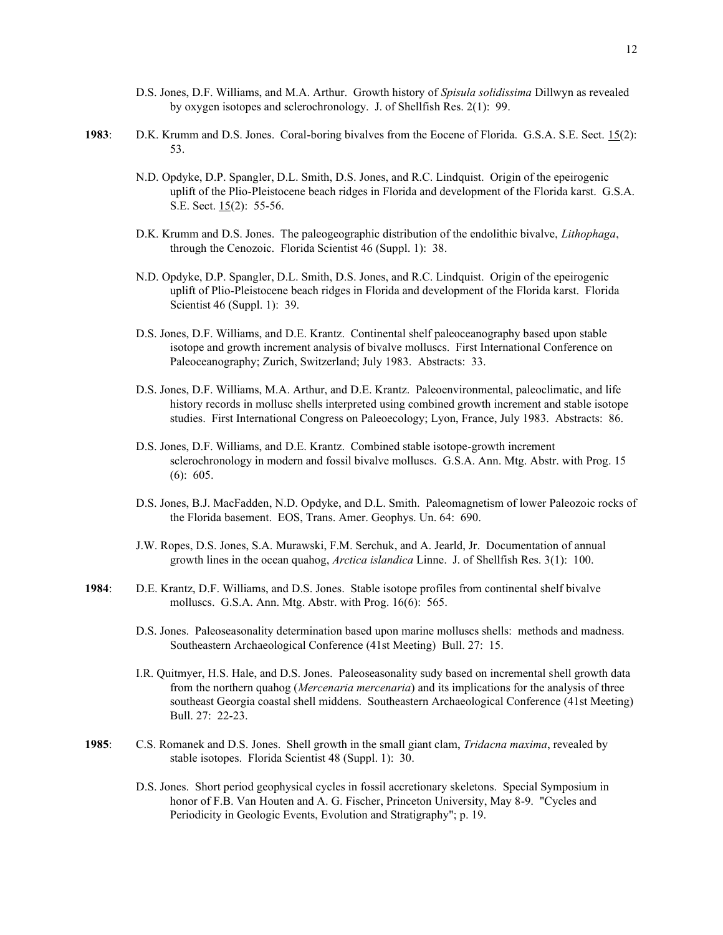- D.S. Jones, D.F. Williams, and M.A. Arthur. Growth history of *Spisula solidissima* Dillwyn as revealed by oxygen isotopes and sclerochronology. J. of Shellfish Res. 2(1): 99.
- **1983**: D.K. Krumm and D.S. Jones. Coral-boring bivalves from the Eocene of Florida. G.S.A. S.E. Sect. 15(2): 53.
	- N.D. Opdyke, D.P. Spangler, D.L. Smith, D.S. Jones, and R.C. Lindquist. Origin of the epeirogenic uplift of the Plio-Pleistocene beach ridges in Florida and development of the Florida karst. G.S.A. S.E. Sect. 15(2): 55-56.
	- D.K. Krumm and D.S. Jones. The paleogeographic distribution of the endolithic bivalve, *Lithophaga*, through the Cenozoic. Florida Scientist 46 (Suppl. 1): 38.
	- N.D. Opdyke, D.P. Spangler, D.L. Smith, D.S. Jones, and R.C. Lindquist. Origin of the epeirogenic uplift of Plio-Pleistocene beach ridges in Florida and development of the Florida karst. Florida Scientist 46 (Suppl. 1): 39.
	- D.S. Jones, D.F. Williams, and D.E. Krantz. Continental shelf paleoceanography based upon stable isotope and growth increment analysis of bivalve molluscs. First International Conference on Paleoceanography; Zurich, Switzerland; July 1983. Abstracts: 33.
	- D.S. Jones, D.F. Williams, M.A. Arthur, and D.E. Krantz. Paleoenvironmental, paleoclimatic, and life history records in mollusc shells interpreted using combined growth increment and stable isotope studies. First International Congress on Paleoecology; Lyon, France, July 1983. Abstracts: 86.
	- D.S. Jones, D.F. Williams, and D.E. Krantz. Combined stable isotope-growth increment sclerochronology in modern and fossil bivalve molluscs. G.S.A. Ann. Mtg. Abstr. with Prog. 15 (6): 605.
	- D.S. Jones, B.J. MacFadden, N.D. Opdyke, and D.L. Smith. Paleomagnetism of lower Paleozoic rocks of the Florida basement. EOS, Trans. Amer. Geophys. Un. 64: 690.
	- J.W. Ropes, D.S. Jones, S.A. Murawski, F.M. Serchuk, and A. Jearld, Jr. Documentation of annual growth lines in the ocean quahog, *Arctica islandica* Linne. J. of Shellfish Res. 3(1): 100.
- **1984**: D.E. Krantz, D.F. Williams, and D.S. Jones. Stable isotope profiles from continental shelf bivalve molluscs. G.S.A. Ann. Mtg. Abstr. with Prog. 16(6): 565.
	- D.S. Jones. Paleoseasonality determination based upon marine molluscs shells: methods and madness. Southeastern Archaeological Conference (41st Meeting) Bull. 27: 15.
	- I.R. Quitmyer, H.S. Hale, and D.S. Jones. Paleoseasonality sudy based on incremental shell growth data from the northern quahog (*Mercenaria mercenaria*) and its implications for the analysis of three southeast Georgia coastal shell middens. Southeastern Archaeological Conference (41st Meeting) Bull. 27: 22-23.
- **1985**: C.S. Romanek and D.S. Jones. Shell growth in the small giant clam, *Tridacna maxima*, revealed by stable isotopes. Florida Scientist 48 (Suppl. 1): 30.
	- D.S. Jones. Short period geophysical cycles in fossil accretionary skeletons. Special Symposium in honor of F.B. Van Houten and A. G. Fischer, Princeton University, May 8-9. "Cycles and Periodicity in Geologic Events, Evolution and Stratigraphy"; p. 19.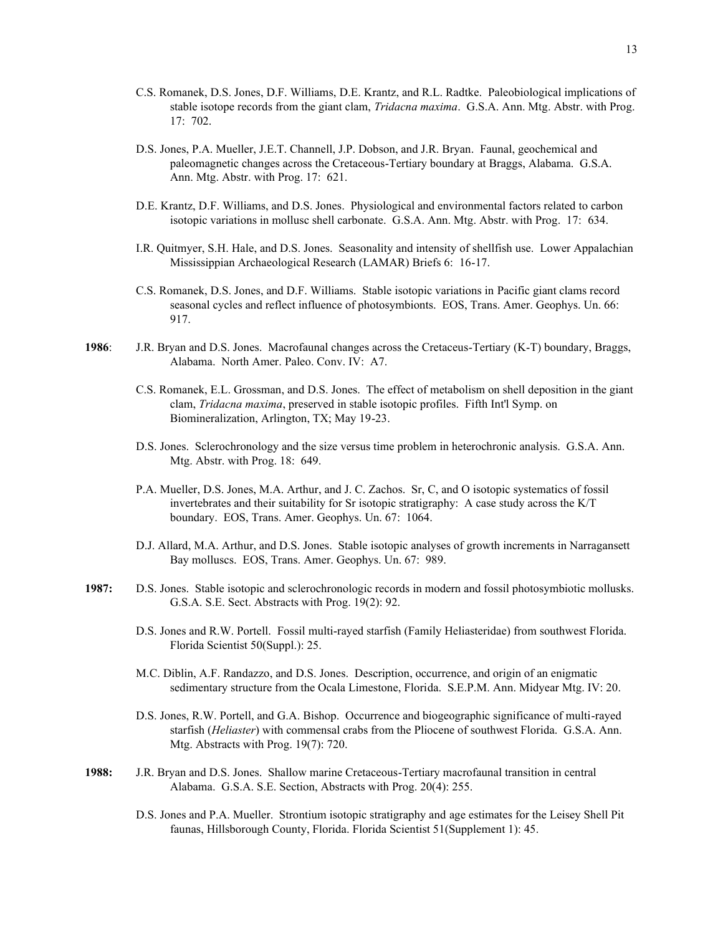- C.S. Romanek, D.S. Jones, D.F. Williams, D.E. Krantz, and R.L. Radtke. Paleobiological implications of stable isotope records from the giant clam, *Tridacna maxima*. G.S.A. Ann. Mtg. Abstr. with Prog. 17: 702.
- D.S. Jones, P.A. Mueller, J.E.T. Channell, J.P. Dobson, and J.R. Bryan. Faunal, geochemical and paleomagnetic changes across the Cretaceous-Tertiary boundary at Braggs, Alabama. G.S.A. Ann. Mtg. Abstr. with Prog. 17: 621.
- D.E. Krantz, D.F. Williams, and D.S. Jones. Physiological and environmental factors related to carbon isotopic variations in mollusc shell carbonate. G.S.A. Ann. Mtg. Abstr. with Prog. 17: 634.
- I.R. Quitmyer, S.H. Hale, and D.S. Jones. Seasonality and intensity of shellfish use. Lower Appalachian Mississippian Archaeological Research (LAMAR) Briefs 6: 16-17.
- C.S. Romanek, D.S. Jones, and D.F. Williams. Stable isotopic variations in Pacific giant clams record seasonal cycles and reflect influence of photosymbionts. EOS, Trans. Amer. Geophys. Un. 66: 917.
- **1986**: J.R. Bryan and D.S. Jones. Macrofaunal changes across the Cretaceus-Tertiary (K-T) boundary, Braggs, Alabama. North Amer. Paleo. Conv. IV: A7.
	- C.S. Romanek, E.L. Grossman, and D.S. Jones. The effect of metabolism on shell deposition in the giant clam, *Tridacna maxima*, preserved in stable isotopic profiles. Fifth Int'l Symp. on Biomineralization, Arlington, TX; May 19-23.
	- D.S. Jones. Sclerochronology and the size versus time problem in heterochronic analysis. G.S.A. Ann. Mtg. Abstr. with Prog. 18: 649.
	- P.A. Mueller, D.S. Jones, M.A. Arthur, and J. C. Zachos. Sr, C, and O isotopic systematics of fossil invertebrates and their suitability for Sr isotopic stratigraphy: A case study across the K/T boundary. EOS, Trans. Amer. Geophys. Un. 67: 1064.
	- D.J. Allard, M.A. Arthur, and D.S. Jones. Stable isotopic analyses of growth increments in Narragansett Bay molluscs. EOS, Trans. Amer. Geophys. Un. 67: 989.
- **1987:** D.S. Jones. Stable isotopic and sclerochronologic records in modern and fossil photosymbiotic mollusks. G.S.A. S.E. Sect. Abstracts with Prog. 19(2): 92.
	- D.S. Jones and R.W. Portell. Fossil multi-rayed starfish (Family Heliasteridae) from southwest Florida. Florida Scientist 50(Suppl.): 25.
	- M.C. Diblin, A.F. Randazzo, and D.S. Jones. Description, occurrence, and origin of an enigmatic sedimentary structure from the Ocala Limestone, Florida. S.E.P.M. Ann. Midyear Mtg. IV: 20.
	- D.S. Jones, R.W. Portell, and G.A. Bishop. Occurrence and biogeographic significance of multi-rayed starfish (*Heliaster*) with commensal crabs from the Pliocene of southwest Florida. G.S.A. Ann. Mtg. Abstracts with Prog. 19(7): 720.
- **1988:** J.R. Bryan and D.S. Jones. Shallow marine Cretaceous-Tertiary macrofaunal transition in central Alabama. G.S.A. S.E. Section, Abstracts with Prog. 20(4): 255.
	- D.S. Jones and P.A. Mueller. Strontium isotopic stratigraphy and age estimates for the Leisey Shell Pit faunas, Hillsborough County, Florida. Florida Scientist 51(Supplement 1): 45.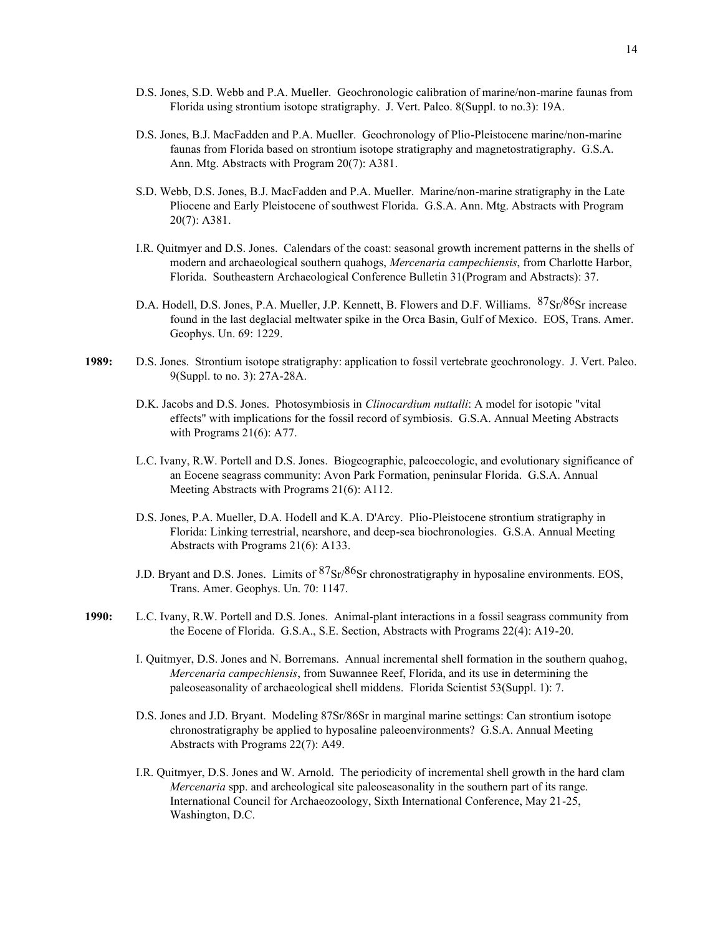- D.S. Jones, S.D. Webb and P.A. Mueller. Geochronologic calibration of marine/non-marine faunas from Florida using strontium isotope stratigraphy. J. Vert. Paleo. 8(Suppl. to no.3): 19A.
- D.S. Jones, B.J. MacFadden and P.A. Mueller. Geochronology of Plio-Pleistocene marine/non-marine faunas from Florida based on strontium isotope stratigraphy and magnetostratigraphy. G.S.A. Ann. Mtg. Abstracts with Program 20(7): A381.
- S.D. Webb, D.S. Jones, B.J. MacFadden and P.A. Mueller. Marine/non-marine stratigraphy in the Late Pliocene and Early Pleistocene of southwest Florida. G.S.A. Ann. Mtg. Abstracts with Program 20(7): A381.
- I.R. Quitmyer and D.S. Jones. Calendars of the coast: seasonal growth increment patterns in the shells of modern and archaeological southern quahogs, *Mercenaria campechiensis*, from Charlotte Harbor, Florida. Southeastern Archaeological Conference Bulletin 31(Program and Abstracts): 37.
- D.A. Hodell, D.S. Jones, P.A. Mueller, J.P. Kennett, B. Flowers and D.F. Williams.  $87Sr/86Sr$  increase found in the last deglacial meltwater spike in the Orca Basin, Gulf of Mexico. EOS, Trans. Amer. Geophys. Un. 69: 1229.
- **1989:** D.S. Jones. Strontium isotope stratigraphy: application to fossil vertebrate geochronology. J. Vert. Paleo. 9(Suppl. to no. 3): 27A-28A.
	- D.K. Jacobs and D.S. Jones. Photosymbiosis in *Clinocardium nuttalli*: A model for isotopic "vital effects" with implications for the fossil record of symbiosis. G.S.A. Annual Meeting Abstracts with Programs 21(6): A77.
	- L.C. Ivany, R.W. Portell and D.S. Jones. Biogeographic, paleoecologic, and evolutionary significance of an Eocene seagrass community: Avon Park Formation, peninsular Florida. G.S.A. Annual Meeting Abstracts with Programs 21(6): A112.
	- D.S. Jones, P.A. Mueller, D.A. Hodell and K.A. D'Arcy. Plio-Pleistocene strontium stratigraphy in Florida: Linking terrestrial, nearshore, and deep-sea biochronologies. G.S.A. Annual Meeting Abstracts with Programs 21(6): A133.
	- J.D. Bryant and D.S. Jones. Limits of  $87\text{Sr}/86\text{Sr}$  chronostratigraphy in hyposaline environments. EOS, Trans. Amer. Geophys. Un. 70: 1147.
- **1990:** L.C. Ivany, R.W. Portell and D.S. Jones. Animal-plant interactions in a fossil seagrass community from the Eocene of Florida. G.S.A., S.E. Section, Abstracts with Programs 22(4): A19-20.
	- I. Quitmyer, D.S. Jones and N. Borremans. Annual incremental shell formation in the southern quahog, *Mercenaria campechiensis*, from Suwannee Reef, Florida, and its use in determining the paleoseasonality of archaeological shell middens. Florida Scientist 53(Suppl. 1): 7.
	- D.S. Jones and J.D. Bryant. Modeling 87Sr/86Sr in marginal marine settings: Can strontium isotope chronostratigraphy be applied to hyposaline paleoenvironments? G.S.A. Annual Meeting Abstracts with Programs 22(7): A49.
	- I.R. Quitmyer, D.S. Jones and W. Arnold. The periodicity of incremental shell growth in the hard clam *Mercenaria* spp. and archeological site paleoseasonality in the southern part of its range. International Council for Archaeozoology, Sixth International Conference, May 21-25, Washington, D.C.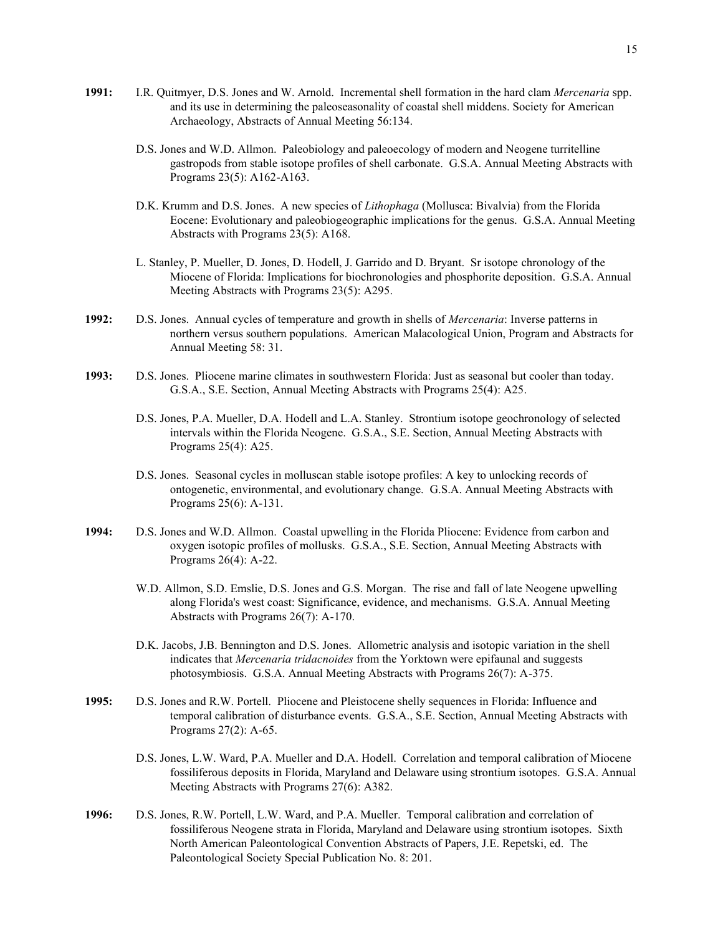- **1991:** I.R. Quitmyer, D.S. Jones and W. Arnold. Incremental shell formation in the hard clam *Mercenaria* spp. and its use in determining the paleoseasonality of coastal shell middens. Society for American Archaeology, Abstracts of Annual Meeting 56:134.
	- D.S. Jones and W.D. Allmon. Paleobiology and paleoecology of modern and Neogene turritelline gastropods from stable isotope profiles of shell carbonate. G.S.A. Annual Meeting Abstracts with Programs 23(5): A162-A163.
	- D.K. Krumm and D.S. Jones. A new species of *Lithophaga* (Mollusca: Bivalvia) from the Florida Eocene: Evolutionary and paleobiogeographic implications for the genus. G.S.A. Annual Meeting Abstracts with Programs 23(5): A168.
	- L. Stanley, P. Mueller, D. Jones, D. Hodell, J. Garrido and D. Bryant. Sr isotope chronology of the Miocene of Florida: Implications for biochronologies and phosphorite deposition. G.S.A. Annual Meeting Abstracts with Programs 23(5): A295.
- **1992:** D.S. Jones. Annual cycles of temperature and growth in shells of *Mercenaria*: Inverse patterns in northern versus southern populations. American Malacological Union, Program and Abstracts for Annual Meeting 58: 31.
- **1993:** D.S. Jones. Pliocene marine climates in southwestern Florida: Just as seasonal but cooler than today. G.S.A., S.E. Section, Annual Meeting Abstracts with Programs 25(4): A25.
	- D.S. Jones, P.A. Mueller, D.A. Hodell and L.A. Stanley. Strontium isotope geochronology of selected intervals within the Florida Neogene. G.S.A., S.E. Section, Annual Meeting Abstracts with Programs 25(4): A25.
	- D.S. Jones. Seasonal cycles in molluscan stable isotope profiles: A key to unlocking records of ontogenetic, environmental, and evolutionary change. G.S.A. Annual Meeting Abstracts with Programs 25(6): A-131.
- **1994:** D.S. Jones and W.D. Allmon. Coastal upwelling in the Florida Pliocene: Evidence from carbon and oxygen isotopic profiles of mollusks. G.S.A., S.E. Section, Annual Meeting Abstracts with Programs 26(4): A-22.
	- W.D. Allmon, S.D. Emslie, D.S. Jones and G.S. Morgan. The rise and fall of late Neogene upwelling along Florida's west coast: Significance, evidence, and mechanisms. G.S.A. Annual Meeting Abstracts with Programs 26(7): A-170.
	- D.K. Jacobs, J.B. Bennington and D.S. Jones. Allometric analysis and isotopic variation in the shell indicates that *Mercenaria tridacnoides* from the Yorktown were epifaunal and suggests photosymbiosis. G.S.A. Annual Meeting Abstracts with Programs 26(7): A-375.
- **1995:** D.S. Jones and R.W. Portell. Pliocene and Pleistocene shelly sequences in Florida: Influence and temporal calibration of disturbance events. G.S.A., S.E. Section, Annual Meeting Abstracts with Programs 27(2): A-65.
	- D.S. Jones, L.W. Ward, P.A. Mueller and D.A. Hodell. Correlation and temporal calibration of Miocene fossiliferous deposits in Florida, Maryland and Delaware using strontium isotopes. G.S.A. Annual Meeting Abstracts with Programs 27(6): A382.
- **1996:** D.S. Jones, R.W. Portell, L.W. Ward, and P.A. Mueller. Temporal calibration and correlation of fossiliferous Neogene strata in Florida, Maryland and Delaware using strontium isotopes. Sixth North American Paleontological Convention Abstracts of Papers, J.E. Repetski, ed. The Paleontological Society Special Publication No. 8: 201.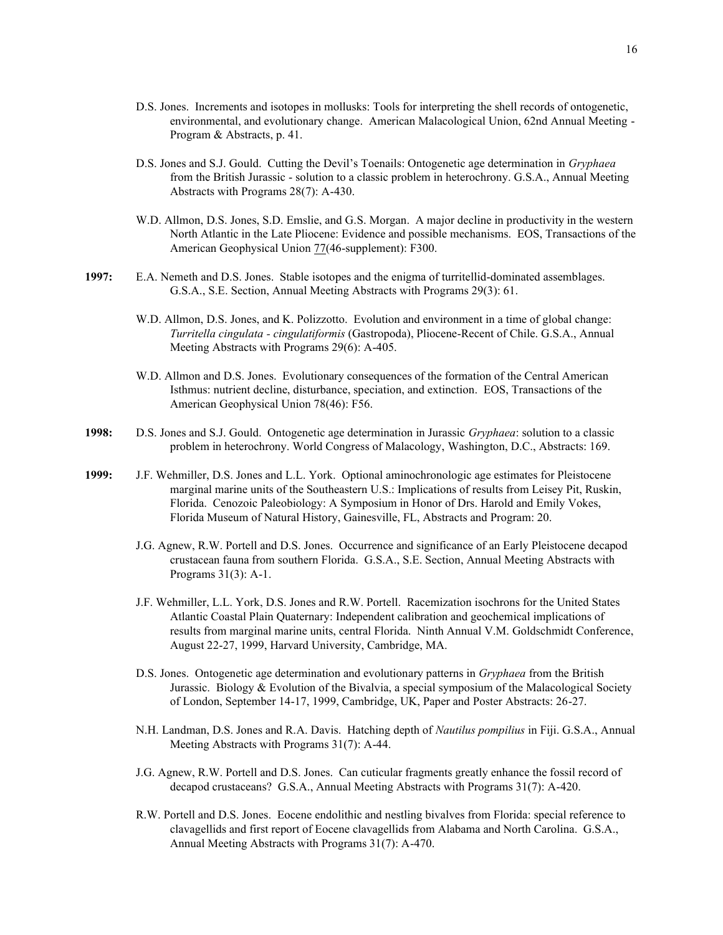- D.S. Jones. Increments and isotopes in mollusks: Tools for interpreting the shell records of ontogenetic, environmental, and evolutionary change. American Malacological Union, 62nd Annual Meeting - Program & Abstracts, p. 41.
- D.S. Jones and S.J. Gould. Cutting the Devil's Toenails: Ontogenetic age determination in *Gryphaea* from the British Jurassic - solution to a classic problem in heterochrony. G.S.A., Annual Meeting Abstracts with Programs 28(7): A-430.
- W.D. Allmon, D.S. Jones, S.D. Emslie, and G.S. Morgan. A major decline in productivity in the western North Atlantic in the Late Pliocene: Evidence and possible mechanisms. EOS, Transactions of the American Geophysical Union 77(46-supplement): F300.
- **1997:** E.A. Nemeth and D.S. Jones. Stable isotopes and the enigma of turritellid-dominated assemblages. G.S.A., S.E. Section, Annual Meeting Abstracts with Programs 29(3): 61.
	- W.D. Allmon, D.S. Jones, and K. Polizzotto. Evolution and environment in a time of global change: *Turritella cingulata - cingulatiformis* (Gastropoda), Pliocene-Recent of Chile. G.S.A., Annual Meeting Abstracts with Programs 29(6): A-405.
	- W.D. Allmon and D.S. Jones. Evolutionary consequences of the formation of the Central American Isthmus: nutrient decline, disturbance, speciation, and extinction. EOS, Transactions of the American Geophysical Union 78(46): F56.
- **1998:** D.S. Jones and S.J. Gould. Ontogenetic age determination in Jurassic *Gryphaea*: solution to a classic problem in heterochrony. World Congress of Malacology, Washington, D.C., Abstracts: 169.
- **1999:** J.F. Wehmiller, D.S. Jones and L.L. York. Optional aminochronologic age estimates for Pleistocene marginal marine units of the Southeastern U.S.: Implications of results from Leisey Pit, Ruskin, Florida. Cenozoic Paleobiology: A Symposium in Honor of Drs. Harold and Emily Vokes, Florida Museum of Natural History, Gainesville, FL, Abstracts and Program: 20.
	- J.G. Agnew, R.W. Portell and D.S. Jones. Occurrence and significance of an Early Pleistocene decapod crustacean fauna from southern Florida. G.S.A., S.E. Section, Annual Meeting Abstracts with Programs 31(3): A-1.
	- J.F. Wehmiller, L.L. York, D.S. Jones and R.W. Portell. Racemization isochrons for the United States Atlantic Coastal Plain Quaternary: Independent calibration and geochemical implications of results from marginal marine units, central Florida. Ninth Annual V.M. Goldschmidt Conference, August 22-27, 1999, Harvard University, Cambridge, MA.
	- D.S. Jones. Ontogenetic age determination and evolutionary patterns in *Gryphaea* from the British Jurassic. Biology & Evolution of the Bivalvia, a special symposium of the Malacological Society of London, September 14-17, 1999, Cambridge, UK, Paper and Poster Abstracts: 26-27.
	- N.H. Landman, D.S. Jones and R.A. Davis. Hatching depth of *Nautilus pompilius* in Fiji. G.S.A., Annual Meeting Abstracts with Programs 31(7): A-44.
	- J.G. Agnew, R.W. Portell and D.S. Jones. Can cuticular fragments greatly enhance the fossil record of decapod crustaceans? G.S.A., Annual Meeting Abstracts with Programs 31(7): A-420.
	- R.W. Portell and D.S. Jones. Eocene endolithic and nestling bivalves from Florida: special reference to clavagellids and first report of Eocene clavagellids from Alabama and North Carolina. G.S.A., Annual Meeting Abstracts with Programs 31(7): A-470.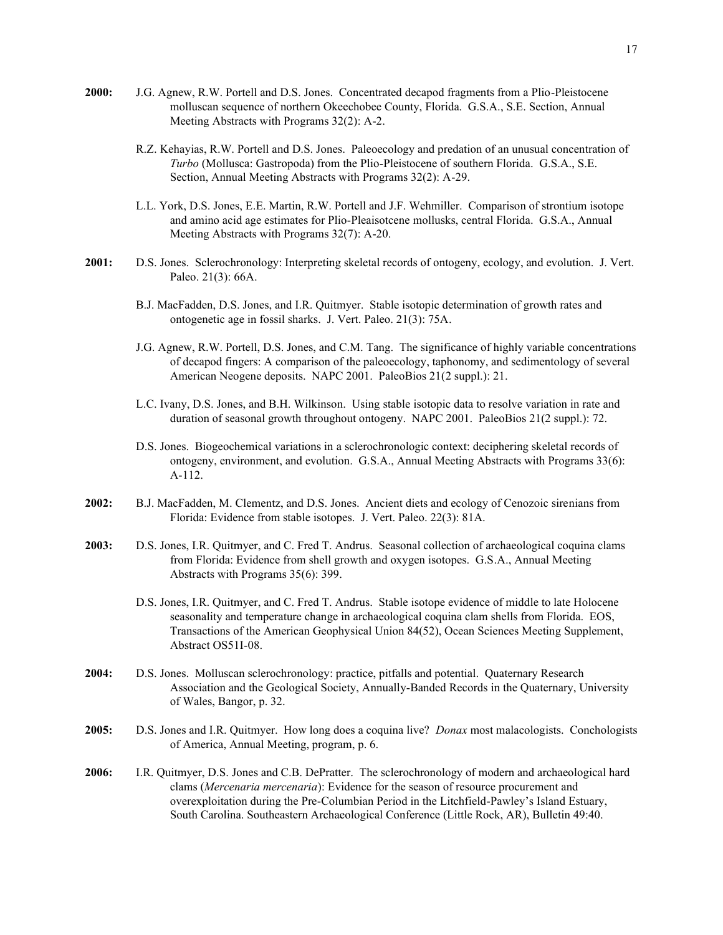- **2000:** J.G. Agnew, R.W. Portell and D.S. Jones. Concentrated decapod fragments from a Plio-Pleistocene molluscan sequence of northern Okeechobee County, Florida. G.S.A., S.E. Section, Annual Meeting Abstracts with Programs 32(2): A-2.
	- R.Z. Kehayias, R.W. Portell and D.S. Jones. Paleoecology and predation of an unusual concentration of *Turbo* (Mollusca: Gastropoda) from the Plio-Pleistocene of southern Florida. G.S.A., S.E. Section, Annual Meeting Abstracts with Programs 32(2): A-29.
	- L.L. York, D.S. Jones, E.E. Martin, R.W. Portell and J.F. Wehmiller. Comparison of strontium isotope and amino acid age estimates for Plio-Pleaisotcene mollusks, central Florida. G.S.A., Annual Meeting Abstracts with Programs 32(7): A-20.
- **2001:** D.S. Jones. Sclerochronology: Interpreting skeletal records of ontogeny, ecology, and evolution. J. Vert. Paleo. 21(3): 66A.
	- B.J. MacFadden, D.S. Jones, and I.R. Quitmyer. Stable isotopic determination of growth rates and ontogenetic age in fossil sharks. J. Vert. Paleo. 21(3): 75A.
	- J.G. Agnew, R.W. Portell, D.S. Jones, and C.M. Tang. The significance of highly variable concentrations of decapod fingers: A comparison of the paleoecology, taphonomy, and sedimentology of several American Neogene deposits. NAPC 2001. PaleoBios 21(2 suppl.): 21.
	- L.C. Ivany, D.S. Jones, and B.H. Wilkinson. Using stable isotopic data to resolve variation in rate and duration of seasonal growth throughout ontogeny. NAPC 2001. PaleoBios 21(2 suppl.): 72.
	- D.S. Jones. Biogeochemical variations in a sclerochronologic context: deciphering skeletal records of ontogeny, environment, and evolution. G.S.A., Annual Meeting Abstracts with Programs 33(6): A-112.
- **2002:** B.J. MacFadden, M. Clementz, and D.S. Jones. Ancient diets and ecology of Cenozoic sirenians from Florida: Evidence from stable isotopes. J. Vert. Paleo. 22(3): 81A.
- **2003:** D.S. Jones, I.R. Quitmyer, and C. Fred T. Andrus. Seasonal collection of archaeological coquina clams from Florida: Evidence from shell growth and oxygen isotopes. G.S.A., Annual Meeting Abstracts with Programs 35(6): 399.
	- D.S. Jones, I.R. Quitmyer, and C. Fred T. Andrus. Stable isotope evidence of middle to late Holocene seasonality and temperature change in archaeological coquina clam shells from Florida. EOS, Transactions of the American Geophysical Union 84(52), Ocean Sciences Meeting Supplement, Abstract OS51I-08.
- **2004:** D.S. Jones. Molluscan sclerochronology: practice, pitfalls and potential. Quaternary Research Association and the Geological Society, Annually-Banded Records in the Quaternary, University of Wales, Bangor, p. 32.
- **2005:** D.S. Jones and I.R. Quitmyer. How long does a coquina live? *Donax* most malacologists. Conchologists of America, Annual Meeting, program, p. 6.
- **2006:** I.R. Quitmyer, D.S. Jones and C.B. DePratter. The sclerochronology of modern and archaeological hard clams (*Mercenaria mercenaria*): Evidence for the season of resource procurement and overexploitation during the Pre-Columbian Period in the Litchfield-Pawley's Island Estuary, South Carolina. Southeastern Archaeological Conference (Little Rock, AR), Bulletin 49:40.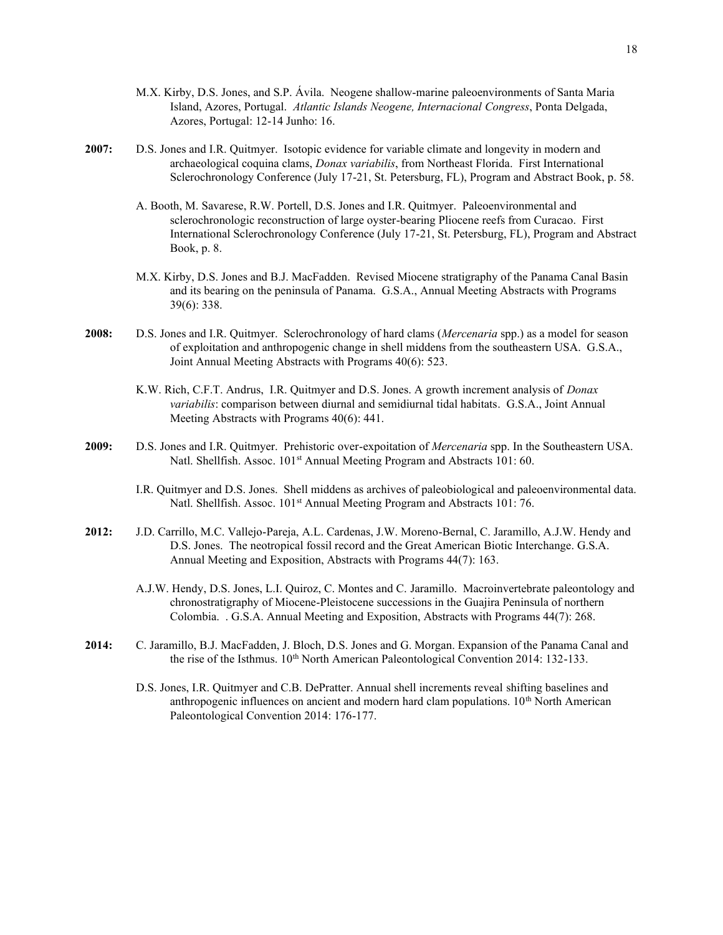- M.X. Kirby, D.S. Jones, and S.P. Ávila. Neogene shallow-marine paleoenvironments of Santa Maria Island, Azores, Portugal. *Atlantic Islands Neogene, Internacional Congress*, Ponta Delgada, Azores, Portugal: 12-14 Junho: 16.
- **2007:** D.S. Jones and I.R. Quitmyer. Isotopic evidence for variable climate and longevity in modern and archaeological coquina clams, *Donax variabilis*, from Northeast Florida. First International Sclerochronology Conference (July 17-21, St. Petersburg, FL), Program and Abstract Book, p. 58.
	- A. Booth, M. Savarese, R.W. Portell, D.S. Jones and I.R. Quitmyer. Paleoenvironmental and sclerochronologic reconstruction of large oyster-bearing Pliocene reefs from Curacao. First International Sclerochronology Conference (July 17-21, St. Petersburg, FL), Program and Abstract Book, p. 8.
	- M.X. Kirby, D.S. Jones and B.J. MacFadden. Revised Miocene stratigraphy of the Panama Canal Basin and its bearing on the peninsula of Panama. G.S.A., Annual Meeting Abstracts with Programs 39(6): 338.
- **2008:** D.S. Jones and I.R. Quitmyer. Sclerochronology of hard clams (*Mercenaria* spp.) as a model for season of exploitation and anthropogenic change in shell middens from the southeastern USA. G.S.A., Joint Annual Meeting Abstracts with Programs 40(6): 523.
	- K.W. Rich, C.F.T. Andrus, I.R. Quitmyer and D.S. Jones. A growth increment analysis of *Donax variabilis*: comparison between diurnal and semidiurnal tidal habitats. G.S.A., Joint Annual Meeting Abstracts with Programs 40(6): 441.
- **2009:** D.S. Jones and I.R. Quitmyer. Prehistoric over-expoitation of *Mercenaria* spp. In the Southeastern USA. Natl. Shellfish. Assoc. 101<sup>st</sup> Annual Meeting Program and Abstracts 101: 60.
	- I.R. Quitmyer and D.S. Jones. Shell middens as archives of paleobiological and paleoenvironmental data. Natl. Shellfish. Assoc. 101<sup>st</sup> Annual Meeting Program and Abstracts 101: 76.
- **2012:** J.D. Carrillo, M.C. Vallejo-Pareja, A.L. Cardenas, J.W. Moreno-Bernal, C. Jaramillo, A.J.W. Hendy and D.S. Jones. The neotropical fossil record and the Great American Biotic Interchange. G.S.A. Annual Meeting and Exposition, Abstracts with Programs 44(7): 163.
	- A.J.W. Hendy, D.S. Jones, L.I. Quiroz, C. Montes and C. Jaramillo. Macroinvertebrate paleontology and chronostratigraphy of Miocene-Pleistocene successions in the Guajira Peninsula of northern Colombia. . G.S.A. Annual Meeting and Exposition, Abstracts with Programs 44(7): 268.
- **2014:** C. Jaramillo, B.J. MacFadden, J. Bloch, D.S. Jones and G. Morgan. Expansion of the Panama Canal and the rise of the Isthmus.  $10^{th}$  North American Paleontological Convention 2014: 132-133.
	- D.S. Jones, I.R. Quitmyer and C.B. DePratter. Annual shell increments reveal shifting baselines and anthropogenic influences on ancient and modern hard clam populations. 10<sup>th</sup> North American Paleontological Convention 2014: 176-177.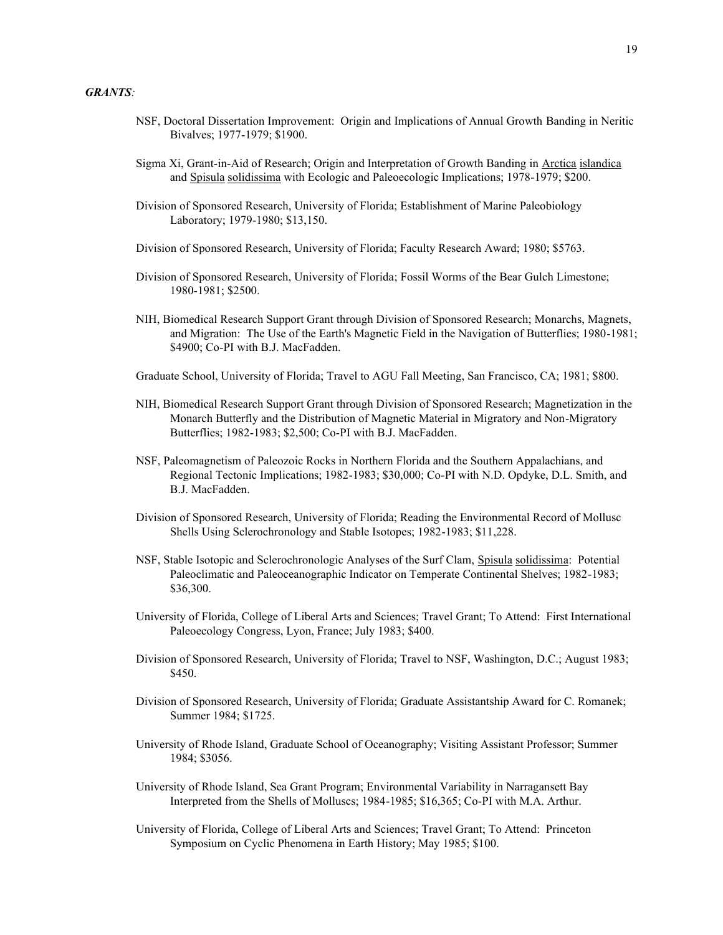- NSF, Doctoral Dissertation Improvement: Origin and Implications of Annual Growth Banding in Neritic Bivalves; 1977-1979; \$1900.
- Sigma Xi, Grant-in-Aid of Research; Origin and Interpretation of Growth Banding in Arctica islandica and Spisula solidissima with Ecologic and Paleoecologic Implications; 1978-1979; \$200.
- Division of Sponsored Research, University of Florida; Establishment of Marine Paleobiology Laboratory; 1979-1980; \$13,150.
- Division of Sponsored Research, University of Florida; Faculty Research Award; 1980; \$5763.
- Division of Sponsored Research, University of Florida; Fossil Worms of the Bear Gulch Limestone; 1980-1981; \$2500.
- NIH, Biomedical Research Support Grant through Division of Sponsored Research; Monarchs, Magnets, and Migration: The Use of the Earth's Magnetic Field in the Navigation of Butterflies; 1980-1981; \$4900; Co-PI with B.J. MacFadden.
- Graduate School, University of Florida; Travel to AGU Fall Meeting, San Francisco, CA; 1981; \$800.
- NIH, Biomedical Research Support Grant through Division of Sponsored Research; Magnetization in the Monarch Butterfly and the Distribution of Magnetic Material in Migratory and Non-Migratory Butterflies; 1982-1983; \$2,500; Co-PI with B.J. MacFadden.
- NSF, Paleomagnetism of Paleozoic Rocks in Northern Florida and the Southern Appalachians, and Regional Tectonic Implications; 1982-1983; \$30,000; Co-PI with N.D. Opdyke, D.L. Smith, and B.J. MacFadden.
- Division of Sponsored Research, University of Florida; Reading the Environmental Record of Mollusc Shells Using Sclerochronology and Stable Isotopes; 1982-1983; \$11,228.
- NSF, Stable Isotopic and Sclerochronologic Analyses of the Surf Clam, Spisula solidissima: Potential Paleoclimatic and Paleoceanographic Indicator on Temperate Continental Shelves; 1982-1983; \$36,300.
- University of Florida, College of Liberal Arts and Sciences; Travel Grant; To Attend: First International Paleoecology Congress, Lyon, France; July 1983; \$400.
- Division of Sponsored Research, University of Florida; Travel to NSF, Washington, D.C.; August 1983; \$450.
- Division of Sponsored Research, University of Florida; Graduate Assistantship Award for C. Romanek; Summer 1984; \$1725.
- University of Rhode Island, Graduate School of Oceanography; Visiting Assistant Professor; Summer 1984; \$3056.
- University of Rhode Island, Sea Grant Program; Environmental Variability in Narragansett Bay Interpreted from the Shells of Molluscs; 1984-1985; \$16,365; Co-PI with M.A. Arthur.
- University of Florida, College of Liberal Arts and Sciences; Travel Grant; To Attend: Princeton Symposium on Cyclic Phenomena in Earth History; May 1985; \$100.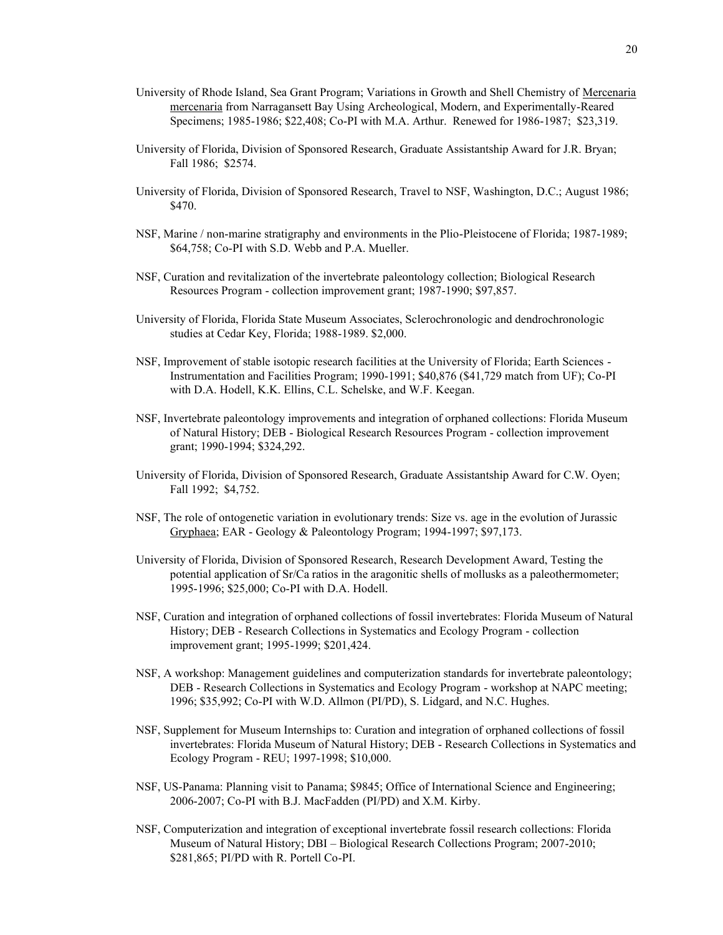- University of Rhode Island, Sea Grant Program; Variations in Growth and Shell Chemistry of Mercenaria mercenaria from Narragansett Bay Using Archeological, Modern, and Experimentally-Reared Specimens; 1985-1986; \$22,408; Co-PI with M.A. Arthur. Renewed for 1986-1987; \$23,319.
- University of Florida, Division of Sponsored Research, Graduate Assistantship Award for J.R. Bryan; Fall 1986; \$2574.
- University of Florida, Division of Sponsored Research, Travel to NSF, Washington, D.C.; August 1986; \$470.
- NSF, Marine / non-marine stratigraphy and environments in the Plio-Pleistocene of Florida; 1987-1989; \$64,758; Co-PI with S.D. Webb and P.A. Mueller.
- NSF, Curation and revitalization of the invertebrate paleontology collection; Biological Research Resources Program - collection improvement grant; 1987-1990; \$97,857.
- University of Florida, Florida State Museum Associates, Sclerochronologic and dendrochronologic studies at Cedar Key, Florida; 1988-1989. \$2,000.
- NSF, Improvement of stable isotopic research facilities at the University of Florida; Earth Sciences Instrumentation and Facilities Program; 1990-1991; \$40,876 (\$41,729 match from UF); Co-PI with D.A. Hodell, K.K. Ellins, C.L. Schelske, and W.F. Keegan.
- NSF, Invertebrate paleontology improvements and integration of orphaned collections: Florida Museum of Natural History; DEB - Biological Research Resources Program - collection improvement grant; 1990-1994; \$324,292.
- University of Florida, Division of Sponsored Research, Graduate Assistantship Award for C.W. Oyen; Fall 1992; \$4,752.
- NSF, The role of ontogenetic variation in evolutionary trends: Size vs. age in the evolution of Jurassic Gryphaea; EAR - Geology & Paleontology Program; 1994-1997; \$97,173.
- University of Florida, Division of Sponsored Research, Research Development Award, Testing the potential application of Sr/Ca ratios in the aragonitic shells of mollusks as a paleothermometer; 1995-1996; \$25,000; Co-PI with D.A. Hodell.
- NSF, Curation and integration of orphaned collections of fossil invertebrates: Florida Museum of Natural History; DEB - Research Collections in Systematics and Ecology Program - collection improvement grant; 1995-1999; \$201,424.
- NSF, A workshop: Management guidelines and computerization standards for invertebrate paleontology; DEB - Research Collections in Systematics and Ecology Program - workshop at NAPC meeting; 1996; \$35,992; Co-PI with W.D. Allmon (PI/PD), S. Lidgard, and N.C. Hughes.
- NSF, Supplement for Museum Internships to: Curation and integration of orphaned collections of fossil invertebrates: Florida Museum of Natural History; DEB - Research Collections in Systematics and Ecology Program - REU; 1997-1998; \$10,000.
- NSF, US-Panama: Planning visit to Panama; \$9845; Office of International Science and Engineering; 2006-2007; Co-PI with B.J. MacFadden (PI/PD) and X.M. Kirby.
- NSF, Computerization and integration of exceptional invertebrate fossil research collections: Florida Museum of Natural History; DBI – Biological Research Collections Program; 2007-2010; \$281,865; PI/PD with R. Portell Co-PI.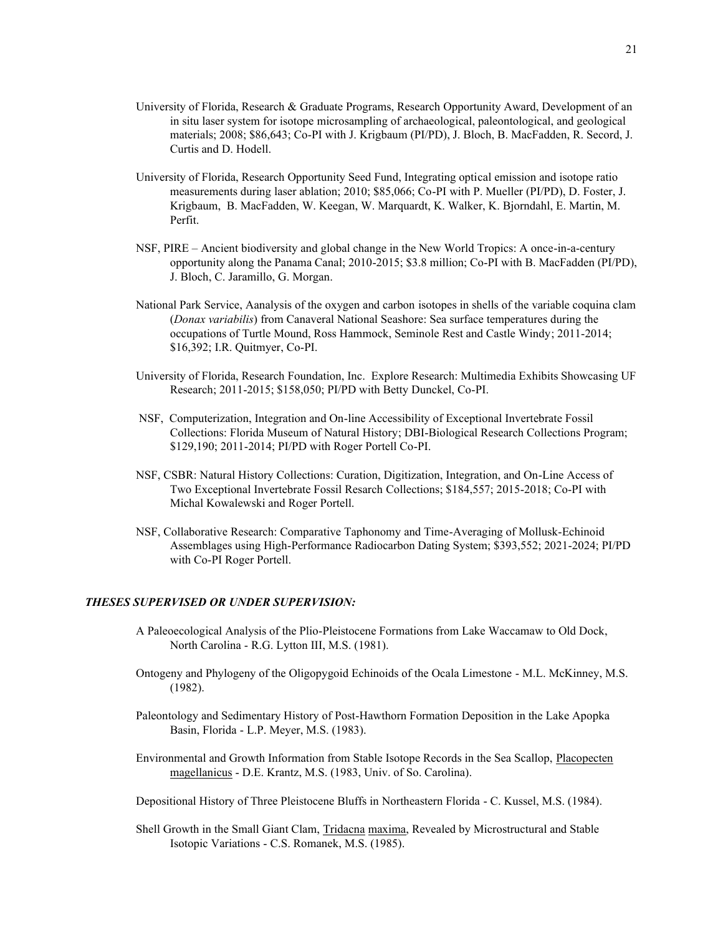- University of Florida, Research & Graduate Programs, Research Opportunity Award, Development of an in situ laser system for isotope microsampling of archaeological, paleontological, and geological materials; 2008; \$86,643; Co-PI with J. Krigbaum (PI/PD), J. Bloch, B. MacFadden, R. Secord, J. Curtis and D. Hodell.
- University of Florida, Research Opportunity Seed Fund, Integrating optical emission and isotope ratio measurements during laser ablation; 2010; \$85,066; Co-PI with P. Mueller (PI/PD), D. Foster, J. Krigbaum, B. MacFadden, W. Keegan, W. Marquardt, K. Walker, K. Bjorndahl, E. Martin, M. Perfit.
- NSF, PIRE Ancient biodiversity and global change in the New World Tropics: A once-in-a-century opportunity along the Panama Canal; 2010-2015; \$3.8 million; Co-PI with B. MacFadden (PI/PD), J. Bloch, C. Jaramillo, G. Morgan.
- National Park Service, Aanalysis of the oxygen and carbon isotopes in shells of the variable coquina clam (*Donax variabilis*) from Canaveral National Seashore: Sea surface temperatures during the occupations of Turtle Mound, Ross Hammock, Seminole Rest and Castle Windy; 2011-2014; \$16,392; I.R. Quitmyer, Co-PI.
- University of Florida, Research Foundation, Inc. Explore Research: Multimedia Exhibits Showcasing UF Research; 2011-2015; \$158,050; PI/PD with Betty Dunckel, Co-PI.
- NSF, Computerization, Integration and On-line Accessibility of Exceptional Invertebrate Fossil Collections: Florida Museum of Natural History; DBI-Biological Research Collections Program; \$129,190; 2011-2014; PI/PD with Roger Portell Co-PI.
- NSF, CSBR: Natural History Collections: Curation, Digitization, Integration, and On-Line Access of Two Exceptional Invertebrate Fossil Resarch Collections; \$184,557; 2015-2018; Co-PI with Michal Kowalewski and Roger Portell.
- NSF, Collaborative Research: Comparative Taphonomy and Time-Averaging of Mollusk-Echinoid Assemblages using High-Performance Radiocarbon Dating System; \$393,552; 2021-2024; PI/PD with Co-PI Roger Portell.

## *THESES SUPERVISED OR UNDER SUPERVISION:*

- A Paleoecological Analysis of the Plio-Pleistocene Formations from Lake Waccamaw to Old Dock, North Carolina - R.G. Lytton III, M.S. (1981).
- Ontogeny and Phylogeny of the Oligopygoid Echinoids of the Ocala Limestone M.L. McKinney, M.S. (1982).
- Paleontology and Sedimentary History of Post-Hawthorn Formation Deposition in the Lake Apopka Basin, Florida - L.P. Meyer, M.S. (1983).
- Environmental and Growth Information from Stable Isotope Records in the Sea Scallop, Placopecten magellanicus - D.E. Krantz, M.S. (1983, Univ. of So. Carolina).
- Depositional History of Three Pleistocene Bluffs in Northeastern Florida C. Kussel, M.S. (1984).
- Shell Growth in the Small Giant Clam, Tridacna maxima, Revealed by Microstructural and Stable Isotopic Variations - C.S. Romanek, M.S. (1985).